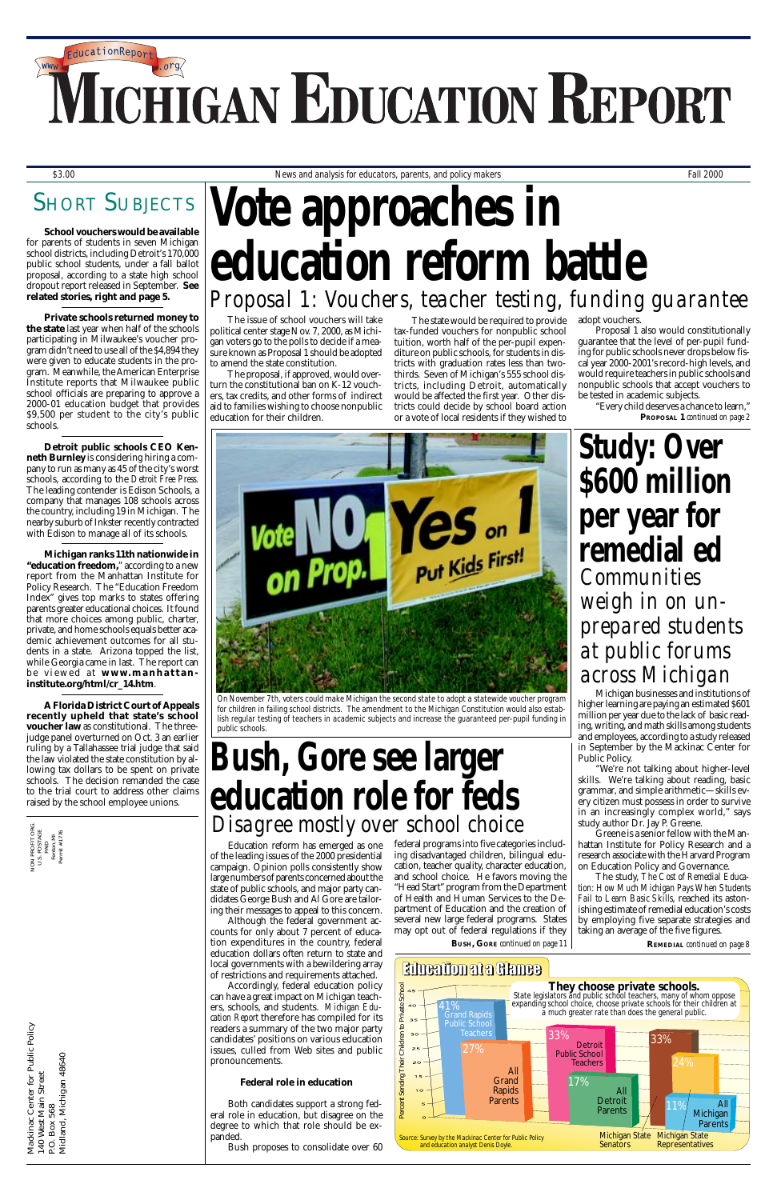# *Fall 2000 Michigan Education Report 1* **TICHIGAN EDUCATION REPORT**

## **SHORT SUBJECTS**

The issue of school vouchers will take political center stage Nov. 7, 2000, as Michigan voters go to the polls to decide if a measure known as Proposal 1 should be adopted to amend the state constitution.

Mackinac Center for Public Policy<br>140 West Main Street<br>P.O. Box 568<br>Midland, Michigan 48640 Mackinac Center for Public Policy Midland, Michigan 48640 140 West Main Street P.O. Box 568

The proposal, if approved, would overturn the constitutional ban on K-12 vouchers, tax credits, and other forms of indirect aid to families wishing to choose nonpublic education for their children.

NON PROFIT ORG. U.S. POSTAGE PAID Fenton, MI Permit #1776

**Study: Over \$600 million per year for remedial ed**

Education reform has emerged as one of the leading issues of the 2000 presidential campaign. Opinion polls consistently show large numbers of parents concerned about the state of public schools, and major party candidates George Bush and Al Gore are tailoring their messages to appeal to this concern. Although the federal government accounts for only about 7 percent of education expenditures in the country, federal education dollars often return to state and local governments with a bewildering array of restrictions and requirements attached. Accordingly, federal education policy can have a great impact on Michigan teachers, schools, and students. *Michigan Education Report* therefore has compiled for its readers a summary of the two major party candidates' positions on various education issues, culled from Web sites and public pronouncements.

### **Federal role in education**

Both candidates support a strong federal role in education, but disagree on the degree to which that role should be expanded.

Bush proposes to consolidate over 60

**School vouchers would be available** for parents of students in seven Michigan school districts, including Detroit's 170,000 public school students, under a fall ballot proposal, according to a state high school dropout report released in September. **See related stories, right and page 5.**

> We're not talking about higher-level skills. We're talking about reading, basic grammar, and simple arithmetic—skills every citizen must possess in order to survive in an increasingly complex world," says study author Dr. Jay P. Greene.

**Private schools returned money to the state** last year when half of the schools participating in Milwaukee's voucher program didn't need to use all of the \$4,894 they were given to educate students in the program. Meanwhile, the American Enterprise Institute reports that Milwaukee public school officials are preparing to approve a 2000-01 education budget that provides \$9,500 per student to the city's public schools.

# *\$3.00 News and analysis for educators, parents, and policy makers Fall 2000* **Vote approaches in education reform battle** *Proposal 1: Vouchers, teacher testing, funding guarantee*

**Detroit public schools CEO Kenneth Burnley** is considering hiring a company to run as many as 45 of the city's worst schools, according to the *Detroit Free Press.* The leading contender is Edison Schools, a company that manages 108 schools across the country, including 19 in Michigan. The nearby suburb of Inkster recently contracted with Edison to manage all of its schools.

# **Bush, Gore see larger education role for feds** *Disagree mostly over school choice*

**Michigan ranks 11th nationwide in "education freedom,**" according to a new report from the Manhattan Institute for Policy Research. The "Education Freedom Index" gives top marks to states offering parents greater educational choices. It found that more choices among public, charter, private, and home schools equals better academic achievement outcomes for all students in a state. Arizona topped the list, while Georgia came in last. The report can be viewed at **www.manhattaninstitute.org/html/cr\_14.htm**.

**PROPOSAL 1** *continued on page 2* "Every child deserves a chance to learn,"

**A Florida District Court of Appeals recently upheld that state's school voucher law** as constitutional. The threejudge panel overturned on Oct. 3 an earlier ruling by a Tallahassee trial judge that said the law violated the state constitution by allowing tax dollars to be spent on private schools. The decision remanded the case to the trial court to address other claims raised by the school employee unions.

Michigan businesses and institutions of higher learning are paying an estimated \$601 million per year due to the lack of basic reading, writing, and math skills among students and employees, according to a study released in September by the Mackinac Center for Public Policy.

Greene is a senior fellow with the Manhattan Institute for Policy Research and a research associate with the Harvard Program on Education Policy and Governance.

The study, *The Cost of Remedial Education: How Much Michigan Pays When Students Fail to Learn Basic Skills*, reached its astonishing estimate of remedial education's costs by employing five separate strategies and taking an average of the five figures.

*Communities weigh in on unprepared students at public forums across Michigan*

The state would be required to provide tax-funded vouchers for nonpublic school tuition, worth half of the per-pupil expenditure on public schools, for students in districts with graduation rates less than twothirds. Seven of Michigan's 555 school districts, including Detroit, automatically would be affected the first year. Other districts could decide by school board action or a vote of local residents if they wished to

adopt vouchers.

Proposal 1 also would constitutionally guarantee that the level of per-pupil funding for public schools never drops below fiscal year 2000-2001's record-high levels, and would require teachers in public schools and nonpublic schools that accept vouchers to be tested in academic subjects.



*On November 7th, voters could make Michigan the second state to adopt a statewide voucher program for children in failing school districts. The amendment to the Michigan Constitution would also establish regular testing of teachers in academic subjects and increase the guaranteed per-pupil funding in public schools.*

federal programs into five categories including disadvantaged children, bilingual education, teacher quality, character education, and school choice. He favors moving the "Head Start" program from the Department of Health and Human Services to the Department of Education and the creation of several new large federal programs. States may opt out of federal regulations if they

**BUSH, GORE** *continued on page 11* **REMEDIAL** *continued on page 8*

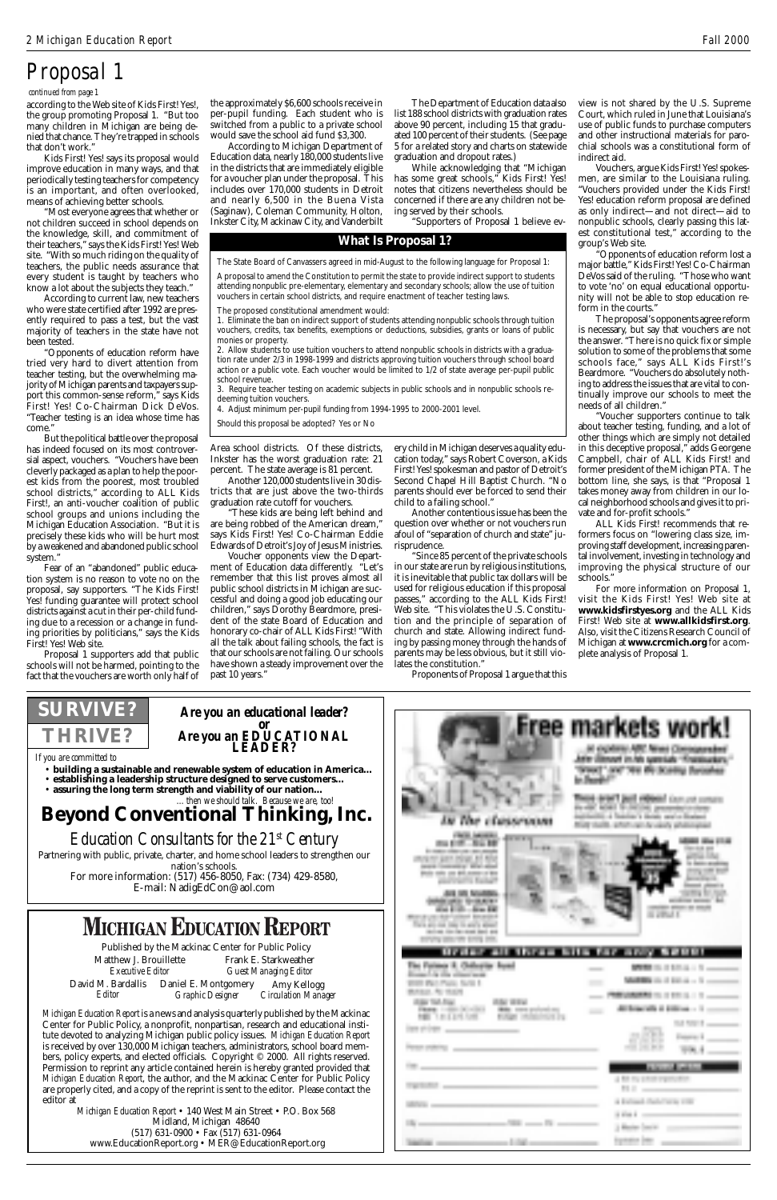according to the Web site of Kids First! Yes!, the group promoting Proposal 1. "But too many children in Michigan are being denied that chance. They're trapped in schools that don't work."

Kids First! Yes! says its proposal would improve education in many ways, and that periodically testing teachers for competency is an important, and often overlooked, means of achieving better schools.

"Most everyone agrees that whether or not children succeed in school depends on the knowledge, skill, and commitment of their teachers," says the Kids First! Yes! Web site. "With so much riding on the quality of teachers, the public needs assurance that every student is taught by teachers who know a lot about the subjects they teach."

According to current law, new teachers who were state certified after 1992 are presently required to pass a test, but the vast majority of teachers in the state have not been tested.

"Opponents of education reform have tried very hard to divert attention from teacher testing, but the overwhelming majority of Michigan parents and taxpayers support this common-sense reform," says Kids First! Yes! Co-Chairman Dick DeVos. "Teacher testing is an idea whose time has come."

But the political battle over the proposal has indeed focused on its most controversial aspect, vouchers. "Vouchers have been cleverly packaged as a plan to help the poorest kids from the poorest, most troubled school districts," according to ALL Kids First!, an anti-voucher coalition of public school groups and unions including the Michigan Education Association. "But it is precisely these kids who will be hurt most by a weakened and abandoned public school system."

Fear of an "abandoned" public education system is no reason to vote no on the proposal, say supporters. "The Kids First! Yes! funding guarantee will protect school districts against a cut in their per-child funding due to a recession or a change in funding priorities by politicians," says the Kids First! Yes! Web site.

Proposal 1 supporters add that public schools will not be harmed, pointing to the fact that the vouchers are worth only half of

 *continued from page 1*

## *Proposal 1*

### **What Is Proposal 1?**

The State Board of Canvassers agreed in mid-August to the following language for Proposal 1:

A proposal to amend the Constitution to permit the state to provide indirect support to students attending nonpublic pre-elementary, elementary and secondary schools; allow the use of tuition vouchers in certain school districts, and require enactment of teacher testing laws.

The proposed constitutional amendment would:

1. Eliminate the ban on indirect support of students attending nonpublic schools through tuition vouchers, credits, tax benefits, exemptions or deductions, subsidies, grants or loans of public monies or property.

2. Allow students to use tuition vouchers to attend nonpublic schools in districts with a graduation rate under 2/3 in 1998-1999 and districts approving tuition vouchers through school board action or a public vote. Each voucher would be limited to 1/2 of state average per-pupil public school revenue.

3. Require teacher testing on academic subjects in public schools and in nonpublic schools redeeming tuition vouchers.

4. Adjust minimum per-pupil funding from 1994-1995 to 2000-2001 level.

Should this proposal be adopted? Yes or No

the approximately \$6,600 schools receive in per-pupil funding. Each student who is switched from a public to a private school would save the school aid fund \$3,300.

According to Michigan Department of Education data, nearly 180,000 students live in the districts that are immediately eligible for a voucher plan under the proposal. This includes over 170,000 students in Detroit and nearly 6,500 in the Buena Vista (Saginaw), Coleman Community, Holton, Inkster City, Mackinaw City, and Vanderbilt

Area school districts. Of these districts, Inkster has the worst graduation rate: 21 percent. The state average is 81 percent.

Another 120,000 students live in 30 districts that are just above the two-thirds graduation rate cutoff for vouchers.

"These kids are being left behind and are being robbed of the American dream," says Kids First! Yes! Co-Chairman Eddie Edwards of Detroit's Joy of Jesus Ministries.

Voucher opponents view the Department of Education data differently. "Let's remember that this list proves almost all public school districts in Michigan are successful and doing a good job educating our children," says Dorothy Beardmore, president of the state Board of Education and honorary co-chair of ALL Kids First! "With all the talk about failing schools, the fact is that our schools are not failing. Our schools have shown a steady improvement over the past 10 years."

*Michigan Education Report* is a news and analysis quarterly published by the Mackinac Center for Public Policy, a nonprofit, nonpartisan, research and educational institute devoted to analyzing Michigan public policy issues. *Michigan Education Report* is received by over 130,000 Michigan teachers, administrators, school board members, policy experts, and elected officials. Copyright © 2000. All rights reserved. Permission to reprint any article contained herein is hereby granted provided that *Michigan Education Report*, the author, and the Mackinac Center for Public Policy are properly cited, and a copy of the reprint is sent to the editor. Please contact the editor at

Published by the Mackinac Center for Public Policy Matthew J. Brouillette Frank E. Starkweather<br>
Executive Editor Guest Managing Editor *Executive Editor Guest Managing Editor* David M. Bardallis Daniel E. Montgomery *Graphic Designer* Amy Kellogg *Circulation Manager Editor*

*Michigan Education Report* • 140 West Main Street • P.O. Box 568 Midland, Michigan 48640 (517) 631-0900 • Fax (517) 631-0964 www.EducationReport.org • MER@EducationReport.org





E-mail: NadigEdCon@aol.com

## **MICHIGAN EDUCATION REPORT**

The Department of Education data also list 188 school districts with graduation rates above 90 percent, including 15 that graduated 100 percent of their students. (See page 5 for a related story and charts on statewide graduation and dropout rates.)

While acknowledging that "Michigan has some great schools," Kids First! Yes! notes that citizens nevertheless should be concerned if there are any children not being served by their schools.

"Supporters of Proposal 1 believe ev-

ery child in Michigan deserves a quality education today," says Robert Coverson, a Kids First! Yes! spokesman and pastor of Detroit's Second Chapel Hill Baptist Church. "No parents should ever be forced to send their child to a failing school."

Another contentious issue has been the question over whether or not vouchers run afoul of "separation of church and state" jurisprudence.

"Since 85 percent of the private schools in our state are run by religious institutions, it is inevitable that public tax dollars will be used for religious education if this proposal passes," according to the ALL Kids First! Web site. "This violates the U.S. Constitution and the principle of separation of church and state. Allowing indirect funding by passing money through the hands of parents may be less obvious, but it still violates the constitution."

Proponents of Proposal 1 argue that this

view is not shared by the U.S. Supreme Court, which ruled in June that Louisiana's use of public funds to purchase computers and other instructional materials for parochial schools was a constitutional form of indirect aid.

Vouchers, argue Kids First! Yes! spokesmen, are similar to the Louisiana ruling. "Vouchers provided under the Kids First! Yes! education reform proposal are defined as only indirect—and not direct—aid to nonpublic schools, clearly passing this latest constitutional test," according to the group's Web site.

"Opponents of education reform lost a major battle," Kids First! Yes! Co-Chairman DeVos said of the ruling. "Those who want to vote 'no' on equal educational opportunity will not be able to stop education reform in the courts."

The proposal's opponents agree reform is necessary, but say that vouchers are not the answer. "There is no quick fix or simple solution to some of the problems that some schools face," says ALL Kids First!'s Beardmore. "Vouchers do absolutely nothing to address the issues that are vital to continually improve our schools to meet the needs of all children."

"Voucher supporters continue to talk about teacher testing, funding, and a lot of other things which are simply not detailed in this deceptive proposal," adds Georgene Campbell, chair of ALL Kids First! and former president of the Michigan PTA. The bottom line, she says, is that "Proposal 1 takes money away from children in our local neighborhood schools and gives it to private and for-profit schools."

ALL Kids First! recommends that reformers focus on "lowering class size, improving staff development, increasing parental involvement, investing in technology and improving the physical structure of our schools."

For more information on Proposal 1, visit the Kids First! Yes! Web site at **www.kidsfirstyes.org** and the ALL Kids First! Web site at **www.allkidsfirst.org**. Also, visit the Citizens Research Council of Michigan at **www.crcmich.org** for a complete analysis of Proposal 1.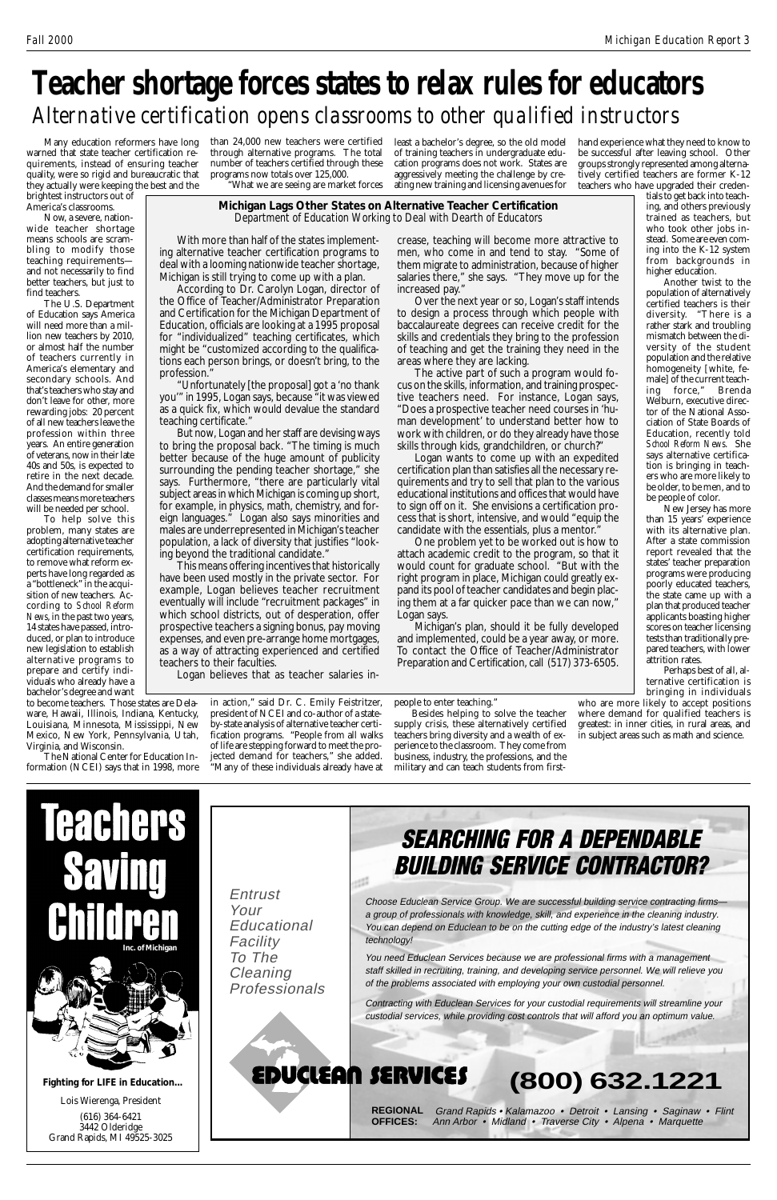

Lois Wierenga, President

(616) 364-6421 3442 Olderidge Grand Rapids, MI 49525-3025

**Fighting for LIFE in Education...**

Many education reformers have long warned that state teacher certification requirements, instead of ensuring teacher quality, were so rigid and bureaucratic that they actually were keeping the best and the

brightest instructors out of America's classrooms.

Now, a severe, nationwide teacher shortage means schools are scrambling to modify those teaching requirements and not necessarily to find better teachers, but just to find teachers.

The U.S. Department of Education says America will need more than a million new teachers by 2010, or almost half the number of teachers currently in America's elementary and secondary schools. And that's teachers who stay and don't leave for other, more rewarding jobs: 20 percent of all new teachers leave the profession within three years. An entire generation of veterans, now in their late 40s and 50s, is expected to retire in the next decade. And the demand for smaller classes means more teachers will be needed per school.

To help solve this problem, many states are adopting alternative teacher certification requirements, to remove what reform experts have long regarded as a "bottleneck" in the acquisition of new teachers. According to *School Reform News*, in the past two years, 14 states have passed, introduced, or plan to introduce new legislation to establish alternative programs to prepare and certify individuals who already have a bachelor's degree and want

to become teachers. Those states are Delaware, Hawaii, Illinois, Indiana, Kentucky, Louisiana, Minnesota, Mississippi, New Mexico, New York, Pennsylvania, Utah, Virginia, and Wisconsin.

The National Center for Education Information (NCEI) says that in 1998, more



What we are seeing are market forces

in action," said Dr. C. Emily Feistritzer, president of NCEI and co-author of a stateby-state analysis of alternative teacher certification programs. "People from all walks of life are stepping forward to meet the projected demand for teachers," she added. "Many of these individuals already have at

## **(800) 632.1221**



**REGIONAL OFFICES:** Grand Rapids • Kalamazoo • Detroit • Lansing • Saginaw • Flint Ann Arbor • Midland • Traverse City • Alpena • Marquette

Entrust Your **Educational Facility** To The **Cleaning** Professionals

Choose Educlean Service Group. We are successful building service contracting firms a group of professionals with knowledge, skill, and experience in the cleaning industry. You can depend on Educlean to be on the cutting edge of the industry's latest cleaning technology!

You need Educlean Services because we are professional firms with a management staff skilled in recruiting, training, and developing service personnel. We will relieve you of the problems associated with employing your own custodial personnel.

Contracting with Educlean Services for your custodial requirements will streamline your custodial services, while providing cost controls that will afford you an optimum value.

## EDUCLEAN SERVICES

## **Teacher shortage forces states to relax rules for educators** *Alternative certification opens classrooms to other qualified instructors*

least a bachelor's degree, so the old model of training teachers in undergraduate education programs does not work. States are aggressively meeting the challenge by creating new training and licensing avenues for

people to enter teaching."

Besides helping to solve the teacher supply crisis, these alternatively certified teachers bring diversity and a wealth of experience to the classroom. They come from business, industry, the professions, and the military and can teach students from first-

**Michigan Lags Other States on Alternative Teacher Certification** *Department of Education Working to Deal with Dearth of Educators*

hand experience what they need to know to be successful after leaving school. Other groups strongly represented among alternatively certified teachers are former K-12 teachers who have upgraded their creden-

tials to get back into teaching, and others previously trained as teachers, but who took other jobs instead. Some are even coming into the K-12 system from backgrounds in higher education.

Another twist to the population of alternatively certified teachers is their diversity. "There is a rather stark and troubling mismatch between the diversity of the student population and the relative homogeneity [white, female] of the current teaching force," Brenda Welburn, executive director of the National Association of State Boards of Education, recently told *School Reform News*. She says alternative certification is bringing in teachers who are more likely to be older, to be men, and to be people of color.

New Jersey has more than 15 years' experience with its alternative plan. After a state commission report revealed that the states' teacher preparation programs were producing poorly educated teachers, the state came up with a plan that produced teacher applicants boasting higher scores on teacher licensing tests than traditionally prepared teachers, with lower attrition rates.

Perhaps best of all, alternative certification is bringing in individuals

who are more likely to accept positions where demand for qualified teachers is greatest: in inner cities, in rural areas, and in subject areas such as math and science.

With more than half of the states implementing alternative teacher certification programs to deal with a looming nationwide teacher shortage, Michigan is still trying to come up with a plan.

According to Dr. Carolyn Logan, director of the Office of Teacher/Administrator Preparation and Certification for the Michigan Department of Education, officials are looking at a 1995 proposal for "individualized" teaching certificates, which might be "customized according to the qualifications each person brings, or doesn't bring, to the profession."

"Unfortunately [the proposal] got a 'no thank you'" in 1995, Logan says, because "it was viewed as a quick fix, which would devalue the standard teaching certificate."

But now, Logan and her staff are devising ways to bring the proposal back. "The timing is much better because of the huge amount of publicity surrounding the pending teacher shortage," she says. Furthermore, "there are particularly vital subject areas in which Michigan is coming up short, for example, in physics, math, chemistry, and foreign languages." Logan also says minorities and males are underrepresented in Michigan's teacher population, a lack of diversity that justifies "looking beyond the traditional candidate."

This means offering incentives that historically have been used mostly in the private sector. For example, Logan believes teacher recruitment eventually will include "recruitment packages" in which school districts, out of desperation, offer prospective teachers a signing bonus, pay moving expenses, and even pre-arrange home mortgages, as a way of attracting experienced and certified teachers to their faculties.

Logan believes that as teacher salaries in-

crease, teaching will become more attractive to men, who come in and tend to stay. "Some of them migrate to administration, because of higher salaries there," she says. "They move up for the increased pay."

Over the next year or so, Logan's staff intends to design a process through which people with baccalaureate degrees can receive credit for the skills and credentials they bring to the profession of teaching and get the training they need in the areas where they are lacking.

The active part of such a program would focus on the skills, information, and training prospective teachers need. For instance, Logan says, "Does a prospective teacher need courses in 'human development' to understand better how to work with children, or do they already have those skills through kids, grandchildren, or church?"

Logan wants to come up with an expedited certification plan than satisfies all the necessary requirements and try to sell that plan to the various educational institutions and offices that would have to sign off on it. She envisions a certification process that is short, intensive, and would "equip the candidate with the essentials, plus a mentor."

One problem yet to be worked out is how to attach academic credit to the program, so that it would count for graduate school. "But with the right program in place, Michigan could greatly expand its pool of teacher candidates and begin placing them at a far quicker pace than we can now," Logan says.

Michigan's plan, should it be fully developed and implemented, could be a year away, or more. To contact the Office of Teacher/Administrator Preparation and Certification, call (517) 373-6505.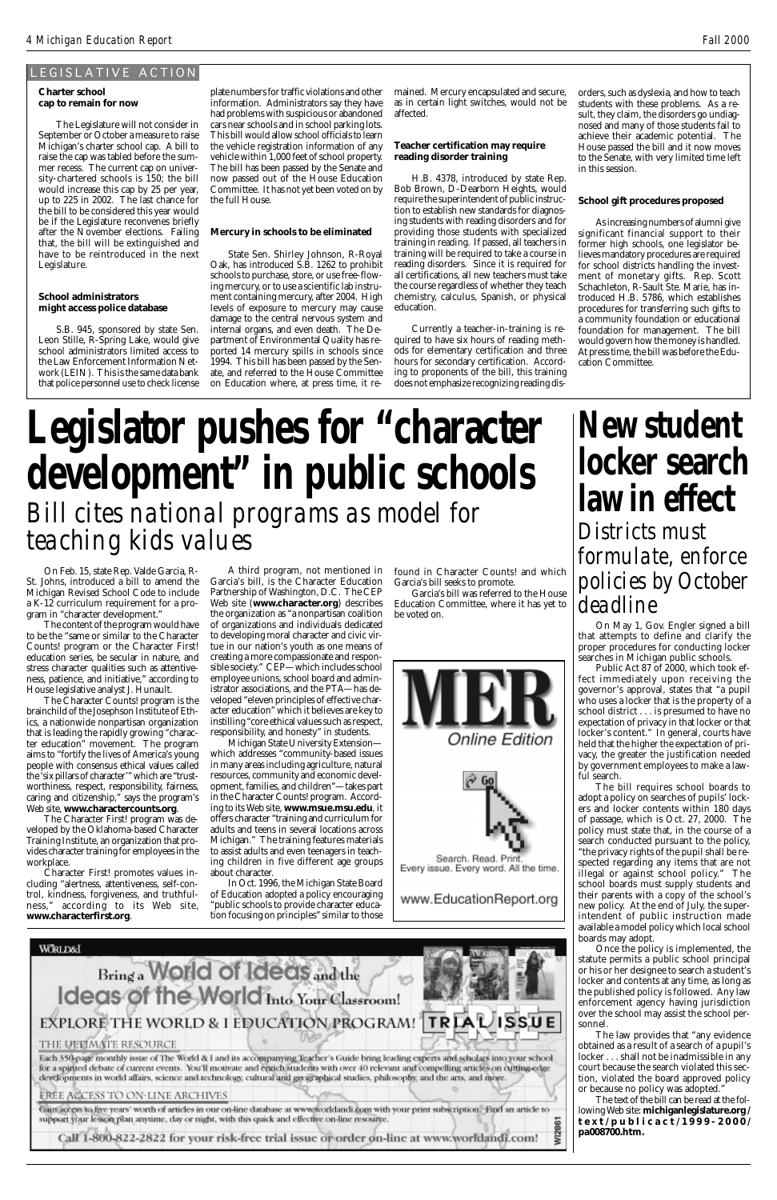#### **Charter school cap to remain for now**

The Legislature will not consider in September or October a measure to raise Michigan's charter school cap. A bill to raise the cap was tabled before the summer recess. The current cap on university-chartered schools is 150; the bill would increase this cap by 25 per year, up to 225 in 2002. The last chance for the bill to be considered this year would be if the Legislature reconvenes briefly after the November elections. Failing that, the bill will be extinguished and have to be reintroduced in the next Legislature.

### **School administrators might access police database**

S.B. 945, sponsored by state Sen. Leon Stille, R-Spring Lake, would give school administrators limited access to the Law Enforcement Information Network (LEIN). This is the same data bank that police personnel use to check license

plate numbers for traffic violations and other information. Administrators say they have had problems with suspicious or abandoned cars near schools and in school parking lots. This bill would allow school officials to learn the vehicle registration information of any vehicle within 1,000 feet of school property. The bill has been passed by the Senate and now passed out of the House Education Committee. It has not yet been voted on by the full House.

### **Mercury in schools to be eliminated**

State Sen. Shirley Johnson, R-Royal Oak, has introduced S.B. 1262 to prohibit schools to purchase, store, or use free-flowing mercury, or to use a scientific lab instrument containing mercury, after 2004. High levels of exposure to mercury may cause damage to the central nervous system and internal organs, and even death. The Department of Environmental Quality has reported 14 mercury spills in schools since 1994. This bill has been passed by the Senate, and referred to the House Committee on Education where, at press time, it remained. Mercury encapsulated and secure, as in certain light switches, would not be affected.

### **Teacher certification may require reading disorder training**

H.B. 4378, introduced by state Rep. Bob Brown, D-Dearborn Heights, would require the superintendent of public instruction to establish new standards for diagnosing students with reading disorders and for providing those students with specialized training in reading. If passed, all teachers in training will be required to take a course in reading disorders. Since it is required for all certifications, all new teachers must take the course regardless of whether they teach chemistry, calculus, Spanish, or physical education.

Currently a teacher-in-training is required to have six hours of reading methods for elementary certification and three hours for secondary certification. According to proponents of the bill, this training does not emphasize recognizing reading dis-

A third program, not mentioned in Garcia's bill, is the Character Education Partnership of Washington, D.C. The CEP Web site (**www.character.org**) describes the organization as "a nonpartisan coalition of organizations and individuals dedicated to developing moral character and civic virtue in our nation's youth as one means of creating a more compassionate and responsible society." CEP—which includes school employee unions, school board and administrator associations, and the PTA—has developed "eleven principles of effective character education" which it believes are key to instilling "core ethical values such as respect, responsibility, and honesty" in students.

Michigan State University Extension which addresses "community-based issues in many areas including agriculture, natural resources, community and economic development, families, and children"—takes part in the Character Counts! program. According to its Web site, **www.msue.msu.edu**, it offers character "training and curriculum for adults and teens in several locations across Michigan." The training features materials to assist adults and even teenagers in teaching children in five different age groups about character.

In Oct. 1996, the Michigan State Board of Education adopted a policy encouraging "public schools to provide character education focusing on principles" similar to those

www.EducationReport.org

### **WORLD&I**

## Bring a World of Ideas and the Ideas of the World Into Your Classroom!

### **TRIALISSUE** EXPLORE THE WORLD & I EDUCATION PROGRAM!

### THE UELIMATE RESOURCE

Each 350-page monthly issue of The World & I and its accompanying Teacher's Guide bring leading experts and scholars into your school for a spirited debate of current events. You'll motivate and enrich students with over 40 relevant and compelling articles on cutting-edge developments in world affairs, science and technology, cultural and geographical studies, philosophy, and the arts, and more.

### EREE ACCESS TO ON-LINE ARCHIVES

Gain access to five years' worth of articles in our on-line database at www.worldandi.com with your print subscription. Find an article to support your lesson plan anytime, day or night, with this quick and effective on-line resource. **WI286** 

Call 1-800-822-2822 for your risk-free trial issue or order on-line at www.worldandi.com!

### LEGISLATIVE ACTION

On Feb. 15, state Rep. Valde Garcia, R-St. Johns, introduced a bill to amend the Michigan Revised School Code to include a K-12 curriculum requirement for a program in "character development."

The content of the program would have to be the "same or similar to the Character Counts! program or the Character First! education series, be secular in nature, and stress character qualities such as attentiveness, patience, and initiative," according to House legislative analyst J. Hunault.

The Character Counts! program is the brainchild of the Josephson Institute of Ethics, a nationwide nonpartisan organization that is leading the rapidly growing "character education" movement. The program aims to "fortify the lives of America's young people with consensus ethical values called the 'six pillars of character'" which are "trustworthiness, respect, responsibility, fairness, caring and citizenship," says the program's Web site, **www.charactercounts.org**.

The Character First! program was developed by the Oklahoma-based Character Training Institute, an organization that provides character training for employees in the workplace.

Character First! promotes values in-

cluding "alertness, attentiveness, self-control, kindness, forgiveness, and truthfulness," according to its Web site, **www.characterfirst.org**.

orders, such as dyslexia, and how to teach students with these problems. As a result, they claim, the disorders go undiagnosed and many of those students fail to achieve their academic potential. The House passed the bill and it now moves to the Senate, with very limited time left in this session.

### **School gift procedures proposed**

As increasing numbers of alumni give significant financial support to their former high schools, one legislator believes mandatory procedures are required for school districts handling the investment of monetary gifts. Rep. Scott Schachleton, R-Sault Ste. Marie, has introduced H.B. 5786, which establishes procedures for transferring such gifts to a community foundation or educational foundation for management. The bill would govern how the money is handled. At press time, the bill was before the Education Committee.

# **Legislator pushes for "character development" in public schools** *Bill cites national programs as model for teaching kids values*

# **New student locker search law in effect**

*Districts must formulate, enforce policies by October deadline*

On May 1, Gov. Engler signed a bill that attempts to define and clarify the proper procedures for conducting locker searches in Michigan public schools.

Public Act 87 of 2000, which took effect immediately upon receiving the governor's approval, states that "a pupil who uses a locker that is the property of a school district . . . is presumed to have no expectation of privacy in that locker or that locker's content." In general, courts have held that the higher the expectation of privacy, the greater the justification needed by government employees to make a lawful search.

The bill requires school boards to adopt a policy on searches of pupils' lockers and locker contents within 180 days of passage, which is Oct. 27, 2000. The policy must state that, in the course of a search conducted pursuant to the policy, "the privacy rights of the pupil shall be respected regarding any items that are not illegal or against school policy." The school boards must supply students and their parents with a copy of the school's new policy. At the end of July, the superintendent of public instruction made available a model policy which local school boards may adopt. Once the policy is implemented, the statute permits a public school principal or his or her designee to search a student's locker and contents at any time, as long as the published policy is followed. Any law enforcement agency having jurisdiction over the school may assist the school personnel. The law provides that "any evidence obtained as a result of a search of a pupil's locker . . . shall not be inadmissible in any court because the search violated this section, violated the board approved policy or because no policy was adopted." The text of the bill can be read at the following Web site: **michiganlegislature.org / text/publicact/1999-2000/ pa008700.htm.**

found in Character Counts! and which Garcia's bill seeks to promote.

Garcia's bill was referred to the House Education Committee, where it has yet to be voted on.

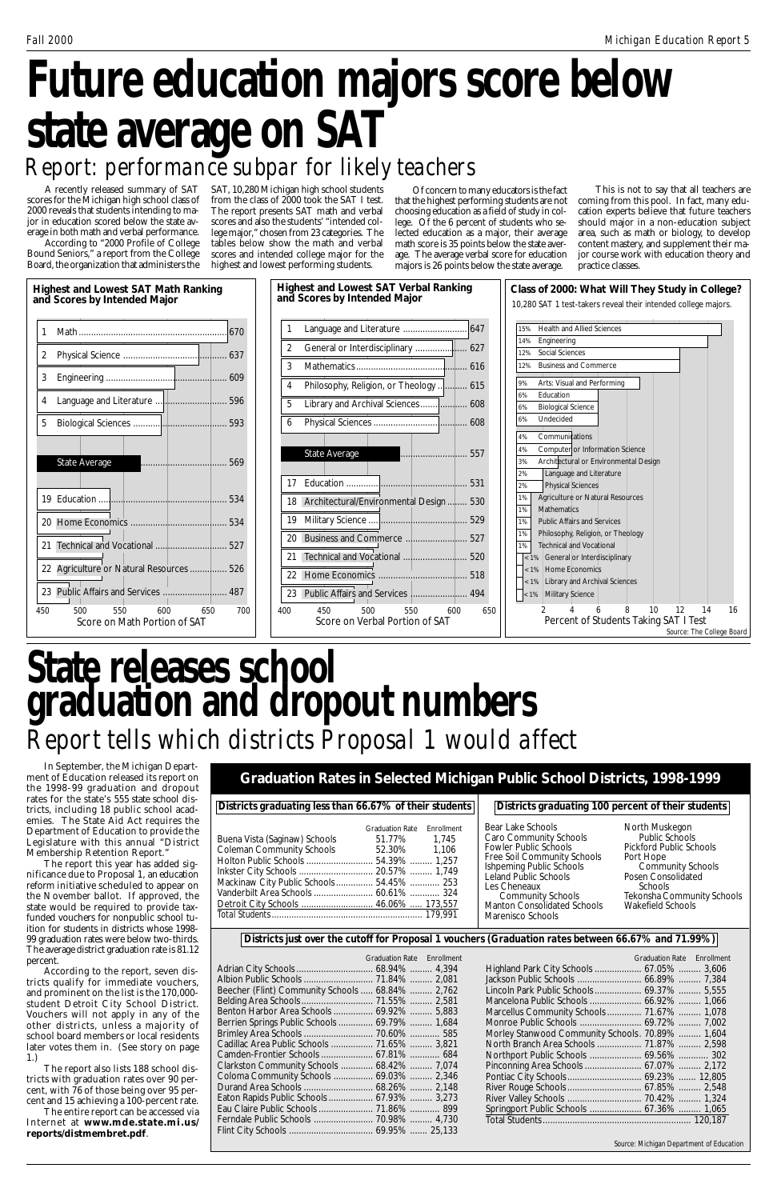A recently released summary of SAT scores for the Michigan high school class of 2000 reveals that students intending to major in education scored below the state average in both math and verbal performance.

# **Future education majors score below state average on SAT** *Report: performance subpar for likely teachers*

According to "2000 Profile of College Bound Seniors," a report from the College Board, the organization that administers the SAT, 10,280 Michigan high school students from the class of 2000 took the SAT I test. The report presents SAT math and verbal scores and also the students' "intended college major," chosen from 23 categories. The tables below show the math and verbal scores and intended college major for the highest and lowest performing students.

Of concern to many educators is the fact that the highest performing students are not choosing education as a field of study in college. Of the 6 percent of students who selected education as a major, their average math score is 35 points below the state average. The average verbal score for education majors is 26 points below the state average.

|                                          | Districts graduating less than 66.67% of their students |            |  |
|------------------------------------------|---------------------------------------------------------|------------|--|
|                                          | <b>Graduation Rate</b>                                  | Fnrollment |  |
| Buena Vista (Saginaw) Schools            | 51.77% 1,745                                            |            |  |
| <b>Coleman Community Schools</b>         | 52.30% 1,106                                            |            |  |
|                                          |                                                         |            |  |
|                                          |                                                         |            |  |
| Mackinaw City Public Schools 54.45%  253 |                                                         |            |  |
| Vanderbilt Area Schools  60.61%  324     |                                                         |            |  |
|                                          |                                                         |            |  |
|                                          |                                                         |            |  |

|                                                  | Graduation Rate Enrollment |  |
|--------------------------------------------------|----------------------------|--|
|                                                  |                            |  |
|                                                  |                            |  |
| Beecher (Flint) Community Schools  68.84%  2,762 |                            |  |
|                                                  |                            |  |
| Benton Harbor Area Schools  69.92%  5,883        |                            |  |
| Berrien Springs Public Schools  69.79%  1,684    |                            |  |
|                                                  |                            |  |
| Cadillac Area Public Schools  71.65%  3,821      |                            |  |
| Camden-Frontier Schools  67.81%  684             |                            |  |
| Clarkston Community Schools  68.42%  7,074       |                            |  |
| Coloma Community Schools  69.03%  2,346          |                            |  |
|                                                  |                            |  |
| Eaton Rapids Public Schools  67.93%  3,273       |                            |  |
|                                                  |                            |  |
|                                                  |                            |  |
|                                                  |                            |  |
|                                                  |                            |  |

# **State releases school graduation and dropout numbers** *Report tells which districts Proposal 1 would affect*

In September, the Michigan Department of Education released its report on the 1998-99 graduation and dropout rates for the state's 555 state school districts, including 18 public school academies. The State Aid Act requires the Department of Education to provide the Legislature with this annual "District Membership Retention Report."

The report this year has added significance due to Proposal 1, an education reform initiative scheduled to appear on the November ballot. If approved, the state would be required to provide taxfunded vouchers for nonpublic school tuition for students in districts whose 1998- 99 graduation rates were below two-thirds. The average district graduation rate is 81.12 percent. According to the report, seven districts qualify for immediate vouchers, and prominent on the list is the 170,000 student Detroit City School District. Vouchers will not apply in any of the other districts, unless a majority of school board members or local residents later votes them in. (See story on page 1.)

The report also lists 188 school districts with graduation rates over 90 percent, with 76 of those being over 95 percent and 15 achieving a 100-percent rate.

The entire report can be accessed via Internet at **www.mde.state.mi.us/ reports/distmembret.pdf**.



This is not to say that all teachers are coming from this pool. In fact, many education experts believe that future teachers should major in a non-education subject area, such as math or biology, to develop content mastery, and supplement their major course work with education theory and practice classes.

**Graduation Rates in Selected Michigan Public School Districts, 1998-1999**

|                                                  | <b>Graduation Rate Enrollment</b> |  |
|--------------------------------------------------|-----------------------------------|--|
| Highland Park City Schools  67.05%  3,606        |                                   |  |
|                                                  |                                   |  |
| Lincoln Park Public Schools 69.37%  5,555        |                                   |  |
|                                                  |                                   |  |
| Marcellus Community Schools 71.67%  1,078        |                                   |  |
|                                                  |                                   |  |
| Morley Stanwood Community Schools. 70.89%  1,604 |                                   |  |
| North Branch Area Schools  71.87%  2,598         |                                   |  |
|                                                  |                                   |  |
| Pinconning Area Schools  67.07%  2,172           |                                   |  |
|                                                  |                                   |  |
|                                                  |                                   |  |
| River Valley Schools  70.42%  1,324              |                                   |  |
| Springport Public Schools  67.36%  1,065         |                                   |  |
|                                                  |                                   |  |

*Districts graduating 100 percent of their students*

Bear Lake Schools Caro Community Schools Fowler Public Schools Free Soil Community Schools Ishpeming Public Schools Leland Public Schools Les Cheneaux Community Schools Manton Consolidated Schools Marenisco Schools

North Muskegon Public Schools Pickford Public Schools Port Hope Community Schools Posen Consolidated

#### Schools Tekonsha Community Schools Wakefield Schools

*Source: Michigan Department of Education*

*Districts just over the cutoff for Proposal 1 vouchers (Graduation rates between 66.67% and 71.99%)*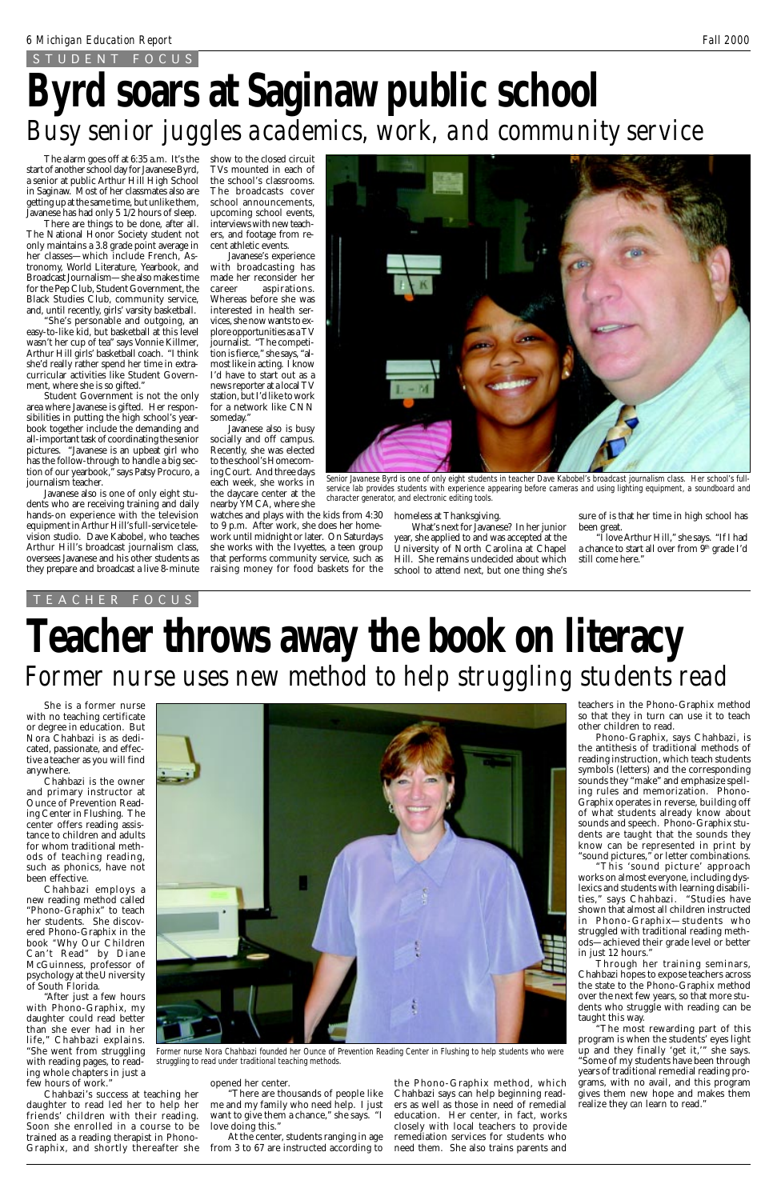The alarm goes off at 6:35 a.m. It's the start of another school day for Javanese Byrd, a senior at public Arthur Hill High School in Saginaw. Most of her classmates also are getting up at the same time, but unlike them, Javanese has had only 5 1/2 hours of sleep.

There are things to be done, after all. The National Honor Society student not only maintains a 3.8 grade point average in her classes—which include French, Astronomy, World Literature, Yearbook, and Broadcast Journalism—she also makes time for the Pep Club, Student Government, the Black Studies Club, community service, and, until recently, girls' varsity basketball.

"She's personable and outgoing, an easy-to-like kid, but basketball at this level wasn't her cup of tea" says Vonnie Killmer, Arthur Hill girls' basketball coach. "I think she'd really rather spend her time in extracurricular activities like Student Government, where she is so gifted."

Student Government is not the only area where Javanese is gifted. Her responsibilities in putting the high school's yearbook together include the demanding and all-important task of coordinating the senior pictures. "Javanese is an upbeat girl who has the follow-through to handle a big section of our yearbook," says Patsy Procuro, a journalism teacher.

Javanese also is one of only eight students who are receiving training and daily hands-on experience with the television equipment in Arthur Hill's full-service television studio. Dave Kabobel, who teaches Arthur Hill's broadcast journalism class, oversees Javanese and his other students as they prepare and broadcast a live 8-minute

She is a former nurse with no teaching certificate or degree in education. But Nora Chahbazi is as dedicated, passionate, and effective a teacher as you will find anywhere.

Javanese's experience with broadcasting has made her reconsider her career aspirations. Whereas before she was interested in health services, she now wants to explore opportunities as a TV journalist. "The competition is fierce," she says, "almost like in acting. I know I'd have to start out as a news reporter at a local TV station, but I'd like to work for a network like CNN someday.'

Chahbazi is the owner and primary instructor at Ounce of Prevention Reading Center in Flushing. The center offers reading assistance to children and adults for whom traditional methods of teaching reading, such as phonics, have not been effective.





Chahbazi employs a new reading method called "Phono-Graphix" to teach her students. She discovered Phono-Graphix in the book *"*Why Our Children Can't Read*"* by Diane McGuinness, professor of psychology at the University of South Florida.

# **Byrd soars at Saginaw public school** *Busy senior juggles academics, work, and community service*

"After just a few hours with Phono-Graphix, my daughter could read better than she ever had in her life," Chahbazi explains. "She went from struggling with reading pages, to reading whole chapters in just a few hours of work."

Chahbazi's success at teaching her daughter to read led her to help her friends' children with their reading. Soon she enrolled in a course to be trained as a reading therapist in Phono-Graphix, and shortly thereafter she the Phono-Graphix method, which Chahbazi says can help beginning readers as well as those in need of remedial education. Her center, in fact, works closely with local teachers to provide remediation services for students who need them. She also trains parents and

### opened her center.

"There are thousands of people like me and my family who need help. I just want to give them a chance," she says. "I love doing this."

"I love Arthur Hill," she says. "If I had a chance to start all over from 9<sup>th</sup> grade I'd still come here."

At the center, students ranging in age from 3 to 67 are instructed according to

show to the closed circuit TVs mounted in each of the school's classrooms. The broadcasts cover school announcements, upcoming school events, interviews with new teachers, and footage from recent athletic events.

# **Teacher throws away the book on literacy** *Former nurse uses new method to help struggling students read*

Javanese also is busy socially and off campus. Recently, she was elected to the school's Homecoming Court. And three days each week, she works in the daycare center at the nearby YMCA, where she watches and plays with the kids from 4:30 to 9 p.m. After work, she does her homework until midnight or later. On Saturdays she works with the Ivyettes, a teen group that performs community service, such as

raising money for food baskets for the

### STUDENT FOCUS

TEACHER FOCUS

teachers in the Phono-Graphix method so that they in turn can use it to teach other children to read.

Phono-Graphix, says Chahbazi, is the antithesis of traditional methods of reading instruction, which teach students symbols (letters) and the corresponding sounds they "make" and emphasize spelling rules and memorization. Phono-Graphix operates in reverse, building off of what students already know about sounds and speech. Phono-Graphix students are taught that the sounds they know can be represented in print by "sound pictures," or letter combinations.

"This 'sound picture' approach works on almost everyone, including dyslexics and students with learning disabilities," says Chahbazi. "Studies have shown that almost all children instructed in Phono-Graphix—students who struggled with traditional reading methods—achieved their grade level or better in just 12 hours." Through her training seminars, Chahbazi hopes to expose teachers across the state to the Phono-Graphix method over the next few years, so that more students who struggle with reading can be taught this way. "The most rewarding part of this program is when the students' eyes light up and they finally 'get it,'" she says. "Some of my students have been through years of traditional remedial reading programs, with no avail, and this program gives them new hope and makes them realize they *can* learn to read."

homeless at Thanksgiving.

What's next for Javanese? In her junior year, she applied to and was accepted at the University of North Carolina at Chapel Hill. She remains undecided about which school to attend next, but one thing she's

*Former nurse Nora Chahbazi founded her Ounce of Prevention Reading Center in Flushing to help students who were struggling to read under traditional teaching methods.*



*Senior Javanese Byrd is one of only eight students in teacher Dave Kabobel's broadcast journalism class. Her school's fullservice lab provides students with experience appearing before cameras and using lighting equipment, a soundboard and character generator, and electronic editing tools.*

sure of is that her time in high school has been great.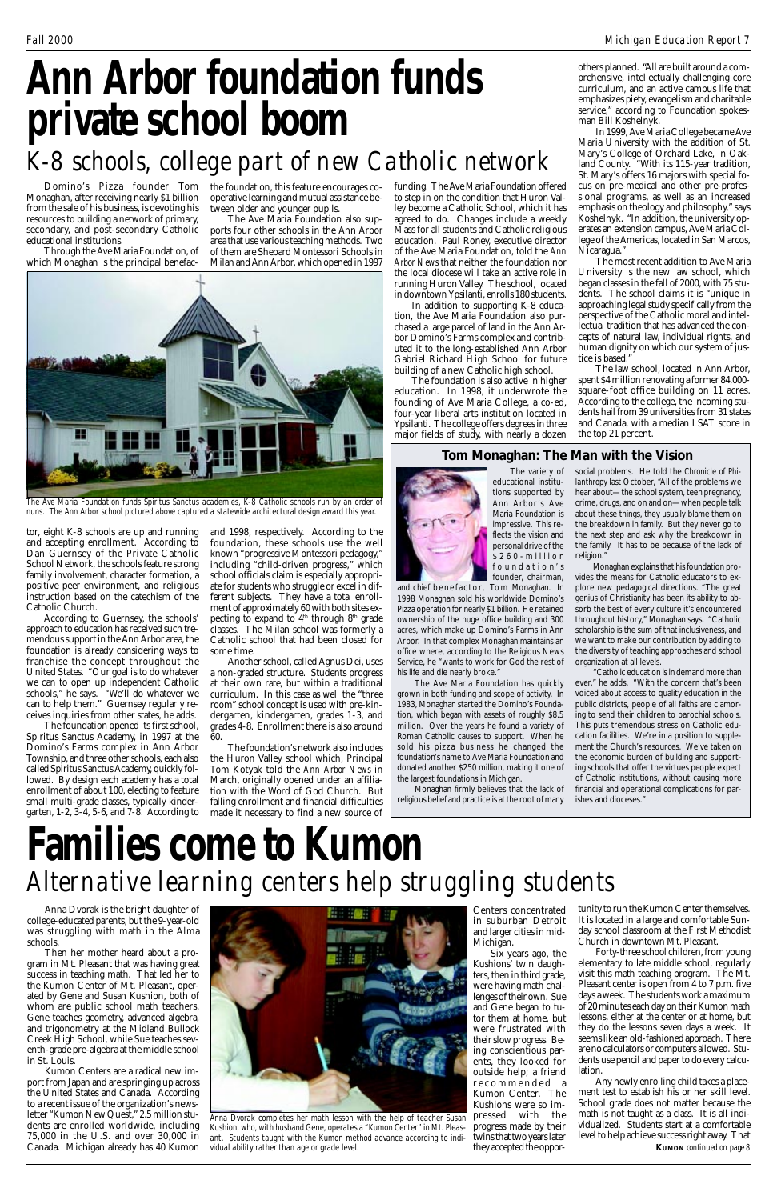Monaghan, after receiving nearly \$1 billion from the sale of his business, is devoting his resources to building a network of primary, secondary, and post-secondary Catholic educational institutions.

Through the Ave Maria Foundation, of which Monaghan is the principal benefac-

tor, eight K-8 schools are up and running and 1998, respectively. According to the and accepting enrollment. According to Dan Guernsey of the Private Catholic School Network, the schools feature strong family involvement, character formation, a positive peer environment, and religious instruction based on the catechism of the Catholic Church.

Domino's Pizza founder Tom the foundation, this feature encourages cooperative learning and mutual assistance between older and younger pupils.

According to Guernsey, the schools' approach to education has received such tremendous support in the Ann Arbor area, the foundation is already considering ways to franchise the concept throughout the United States. "Our goal is to do whatever we can to open up independent Catholic schools," he says. "We'll do whatever we can to help them." Guernsey regularly receives inquiries from other states, he adds.

The foundation opened its first school, Spiritus Sanctus Academy, in 1997 at the Domino's Farms complex in Ann Arbor Township, and three other schools, each also called Spiritus Sanctus Academy, quickly followed. By design each academy has a total enrollment of about 100, electing to feature small multi-grade classes, typically kindergarten, 1-2, 3-4, 5-6, and 7-8. According to

The Ave Maria Foundation also supports four other schools in the Ann Arbor area that use various teaching methods. Two of them are Shepard Montessori Schools in Milan and Ann Arbor, which opened in 1997

foundation, these schools use the well known "progressive Montessori pedagogy," including "child-driven progress," which school officials claim is especially appropriate for students who struggle or excel in different subjects. They have a total enrollment of approximately 60 with both sites expecting to expand to 4<sup>th</sup> through 8<sup>th</sup> grade classes. The Milan school was formerly a Catholic school that had been closed for some time.

Another school, called Agnus Dei, uses a non-graded structure. Students progress at their own rate, but within a traditional curriculum. In this case as well the "three room" school concept is used with pre-kindergarten, kindergarten, grades 1-3, and grades 4-8. Enrollment there is also around 60.

The foundation's network also includes the Huron Valley school which, Principal Tom Kotyak told the *Ann Arbor News* in March, originally opened under an affiliation with the Word of God Church. But falling enrollment and financial difficulties made it necessary to find a new source of

funding. The Ave Maria Foundation offered to step in on the condition that Huron Valley become a Catholic School, which it has agreed to do. Changes include a weekly Mass for all students and Catholic religious education. Paul Roney, executive director of the Ave Maria Foundation, told the *Ann Arbor News* that neither the foundation nor the local diocese will take an active role in running Huron Valley. The school, located in downtown Ypsilanti, enrolls 180 students.

In addition to supporting K-8 education, the Ave Maria Foundation also purchased a large parcel of land in the Ann Arbor Domino's Farms complex and contributed it to the long-established Ann Arbor Gabriel Richard High School for future building of a new Catholic high school.

The foundation is also active in higher education. In 1998, it underwrote the founding of Ave Maria College, a co-ed, four-year liberal arts institution located in Ypsilanti. The college offers degrees in three major fields of study, with nearly a dozen

# **Ann Arbor foundation funds private school boom**

## *K-8 schools, college part of new Catholic network*



*The Ave Maria Foundation funds Spiritus Sanctus academies, K-8 Catholic schools run by an order of nuns. The Ann Arbor school pictured above captured a statewide architectural design award this year.*

Anna Dvorak is the bright daughter of college-educated parents, but the 9-year-old was struggling with math in the Alma schools.

and chief benefactor, Tom Monaghan. In 1998 Monaghan sold his worldwide Domino's Pizza operation for nearly \$1 billion. He retained ownership of the huge office building and 300 acres, which make up Domino's Farms in Ann Arbor. In that complex Monaghan maintains an office where, according to the Religious News Service, he "wants to work for God the rest of his life and die nearly broke."

Then her mother heard about a program in Mt. Pleasant that was having great success in teaching math. That led her to the Kumon Center of Mt. Pleasant, operated by Gene and Susan Kushion, both of whom are public school math teachers. Gene teaches geometry, advanced algebra, and trigonometry at the Midland Bullock Creek High School, while Sue teaches seventh-grade pre-algebra at the middle school in St. Louis.

social problems. He told the *Chronicle of Philanthropy* last October, "All of the problems we hear about—the school system, teen pregnancy, crime, drugs, and on and on—when people talk about these things, they usually blame them on the breakdown in family. But they never go to the next step and ask why the breakdown in the family. It has to be because of the lack of religion."

Kumon Centers are a radical new import from Japan and are springing up across the United States and Canada. According to a recent issue of the organization's newsletter "Kumon New Quest," 2.5 million students are enrolled worldwide, including 75,000 in the U.S. and over 30,000 in Canada. Michigan already has 40 Kumon

Centers concentrated in suburban Detroit and larger cities in mid-Michigan.

Six years ago, the Kushions' twin daughters, then in third grade, were having math challenges of their own. Sue and Gene began to tutor them at home, but were frustrated with their slow progress. Being conscientious parents, they looked for outside help; a friend recommended a Kumon Center. The Kushions were so impressed with the progress made by their twins that two years later they accepted the opportunity to run the Kumon Center themselves. It is located in a large and comfortable Sunday school classroom at the First Methodist Church in downtown Mt. Pleasant.

Forty-three school children, from young elementary to late middle school, regularly visit this math teaching program. The Mt. Pleasant center is open from 4 to 7 p.m. five days a week. The students work a maximum of 20 minutes each day on their Kumon math lessons, either at the center or at home, but they do the lessons seven days a week. It seems like an old-fashioned approach. There are no calculators or computers allowed. Students use pencil and paper to do every calculation.

others planned. "All are built around a comprehensive, intellectually challenging core curriculum, and an active campus life that emphasizes piety, evangelism and charitable service," according to Foundation spokesman Bill Koshelnyk.

In 1999, Ave Maria College became Ave Maria University with the addition of St. Mary's College of Orchard Lake, in Oakland County. "With its 115-year tradition, St. Mary's offers 16 majors with special focus on pre-medical and other pre-professional programs, as well as an increased emphasis on theology and philosophy," says Koshelnyk. "In addition, the university operates an extension campus, Ave Maria College of the Americas, located in San Marcos, Nicaragua."

The most recent addition to Ave Maria University is the new law school, which began classes in the fall of 2000, with 75 students. The school claims it is "unique in approaching legal study specifically from the perspective of the Catholic moral and intellectual tradition that has advanced the concepts of natural law, individual rights, and human dignity on which our system of justice is based."

The law school, located in Ann Arbor, spent \$4 million renovating a former 84,000 square-foot office building on 11 acres. According to the college, the incoming students hail from 39 universities from 31 states and Canada, with a median LSAT score in the top 21 percent.



*Anna Dvorak completes her math lesson with the help of teacher Susan Kushion, who, with husband Gene, operates a "Kumon Center" in Mt. Pleasant. Students taught with the Kumon method advance according to individual ability rather than age or grade level.*

### **Tom Monaghan: The Man with the Vision**



The variety of educational institutions supported by Ann Arbor's Ave Maria Foundation is impressive. This reflects the vision and personal drive of the \$260-million foundation's founder, chairman,

> Any newly enrolling child takes a placement test to establish his or her skill level. School grade does not matter because the math is not taught as a class. It is all individualized. Students start at a comfortable level to help achieve success right away. That **KUMON** *continued on page 8*

The Ave Maria Foundation has quickly grown in both funding and scope of activity. In 1983, Monaghan started the Domino's Foundation, which began with assets of roughly \$8.5 million. Over the years he found a variety of Roman Catholic causes to support. When he sold his pizza business he changed the foundation's name to Ave Maria Foundation and donated another \$250 million, making it one of the largest foundations in Michigan.

Monaghan firmly believes that the lack of religious belief and practice is at the root of many

Monaghan explains that his foundation provides the means for Catholic educators to explore new pedagogical directions. "The great genius of Christianity has been its ability to absorb the best of every culture it's encountered throughout history," Monaghan says. "Catholic scholarship is the sum of that inclusiveness, and we want to make our contribution by adding to the diversity of teaching approaches and school organization at all levels.

"Catholic education is in demand more than ever," he adds. "With the concern that's been voiced about access to quality education in the public districts, people of all faiths are clamoring to send their children to parochial schools. This puts tremendous stress on Catholic education facilities. We're in a position to supplement the Church's resources. We've taken on the economic burden of building and supporting schools that offer the virtues people expect of Catholic institutions, without causing more financial and operational complications for parishes and dioceses."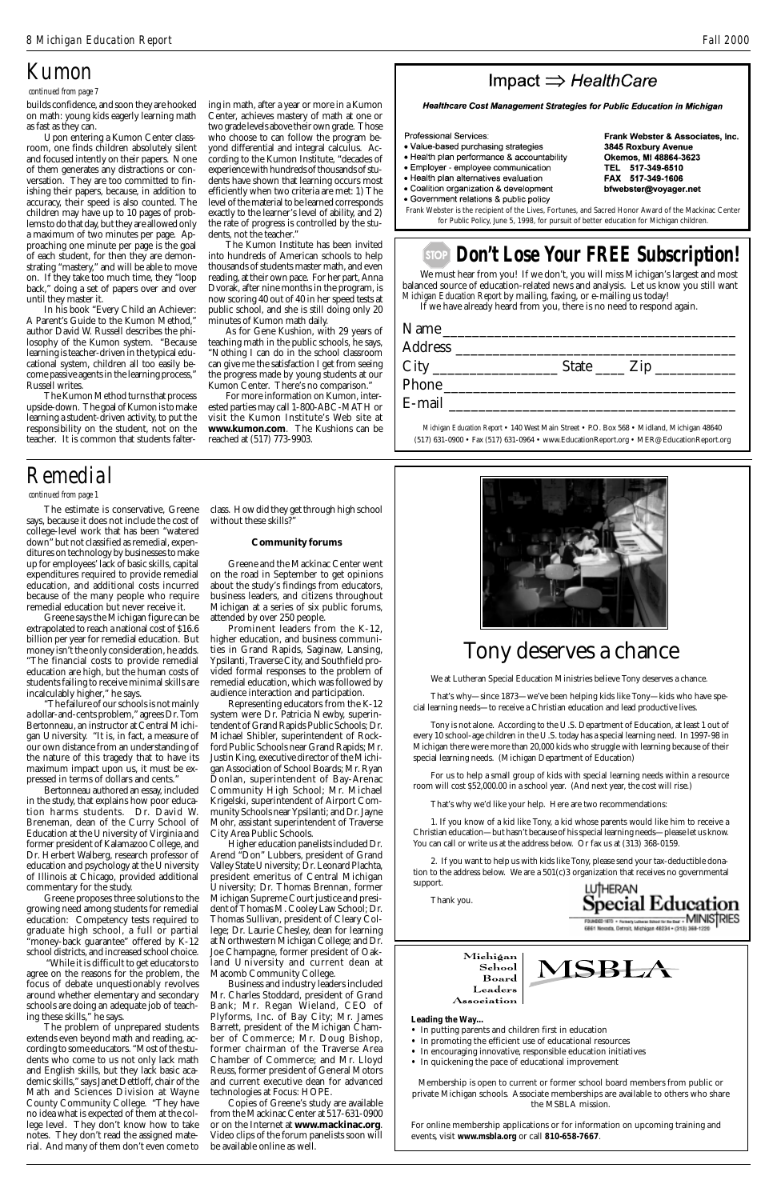## Tony deserves a chance

We at Lutheran Special Education Ministries believe Tony deserves a chance.

That's why—since 1873—we've been helping kids like Tony—kids who have special learning needs—to receive a Christian education and lead productive lives.

Tony is not alone. According to the U.S. Department of Education, at least 1 out of every 10 school-age children in the U.S. today has a special learning need. In 1997-98 in Michigan there were more than 20,000 kids who struggle with learning because of their special learning needs. (Michigan Department of Education)

For us to help a small group of kids with special learning needs within a resource room will cost \$52,000.00 in a school year. (And next year, the cost will rise.)

That's why we'd like your help. Here are two recommendations:

1. If you know of a kid like Tony, a kid whose parents would like him to receive a Christian education—but hasn't because of his special learning needs—please let us know. You can call or write us at the address below. Or fax us at (313) 368-0159.

2. If you want to help us with kids like Tony, please send your tax-deductible donation to the address below. We are a 501(c)3 organization that receives no governmental

MSBL/

support.

Thank you.



Michigan School Board Leaders Association

### **Leading the Way…**

- In putting parents and children first in education
- In promoting the efficient use of educational resources
- In encouraging innovative, responsible education initiatives
- In quickening the pace of educational improvement

Membership is open to current or former school board members from public or private Michigan schools. Associate memberships are available to others who share the MSBLA mission.

For online membership applications or for information on upcoming training and events, visit **www.msbla.org** or call **810-658-7667**.

The estimate is conservative, Greene says, because it does not include the cost of college-level work that has been "watered down" but not classified as remedial, expenditures on technology by businesses to make up for employees' lack of basic skills, capital expenditures required to provide remedial education, and additional costs incurred because of the many people who require remedial education but never receive it.

class. How did they get through high school without these skills?"

Greene says the Michigan figure can be extrapolated to reach a national cost of \$16.6 billion per year for remedial education. But money isn't the only consideration, he adds. "The financial costs to provide remedial education are high, but the human costs of students failing to receive minimal skills are incalculably higher," he says.

"The failure of our schools is not mainly a dollar-and-cents problem," agrees Dr. Tom Bertonneau, an instructor at Central Michigan University. "It is, in fact, a measure of our own distance from an understanding of the nature of this tragedy that to have its maximum impact upon us, it must be expressed in terms of dollars and cents."

Bertonneau authored an essay, included in the study, that explains how poor education harms students. Dr. David W. Breneman, dean of the Curry School of Education at the University of Virginia and former president of Kalamazoo College, and Dr. Herbert Walberg, research professor of education and psychology at the University of Illinois at Chicago, provided additional

### **Don't Lose Your FREE Subscription! STOP**

commentary for the study.

Greene proposes three solutions to the growing need among students for remedial education: Competency tests required to graduate high school, a full or partial "money-back guarantee" offered by K-12 school districts, and increased school choice.

 "While it is difficult to get educators to agree on the reasons for the problem, the focus of debate unquestionably revolves around whether elementary and secondary schools are doing an adequate job of teaching these skills," he says.

The problem of unprepared students extends even beyond math and reading, according to some educators. "Most of the students who come to us not only lack math and English skills, but they lack basic academic skills," says Janet Dettloff, chair of the Math and Sciences Division at Wayne County Community College. "They have no idea what is expected of them at the college level. They don't know how to take notes. They don't read the assigned material. And many of them don't even come to

#### *continued from page 1*

ing in math, after a year or more in a Kumon Center, achieves mastery of math at one or two grade levels above their own grade. Those who choose to can follow the program beyond differential and integral calculus. According to the Kumon Institute, "decades of experience with hundreds of thousands of students have shown that learning occurs most efficiently when two criteria are met: 1) The level of the material to be learned corresponds exactly to the learner's level of ability, and 2) the rate of progress is controlled by the students, not the teacher.'

### *Remedial*

#### **Community forums**

Greene and the Mackinac Center went on the road in September to get opinions about the study's findings from educators, business leaders, and citizens throughout Michigan at a series of six public forums, attended by over 250 people.

Prominent leaders from the K-12, higher education, and business communities in Grand Rapids, Saginaw, Lansing, Ypsilanti, Traverse City, and Southfield provided formal responses to the problem of remedial education, which was followed by audience interaction and participation.

Representing educators from the K-12 system were Dr. Patricia Newby, superintendent of Grand Rapids Public Schools; Dr. Michael Shibler, superintendent of Rockford Public Schools near Grand Rapids; Mr. Justin King, executive director of the Michigan Association of School Boards; Mr. Ryan Donlan, superintendent of Bay-Arenac Community High School; Mr. Michael Krigelski, superintendent of Airport Community Schools near Ypsilanti; and Dr. Jayne Mohr, assistant superintendent of Traverse City Area Public Schools.

Higher education panelists included Dr. Arend "Don" Lubbers, president of Grand Valley State University; Dr. Leonard Plachta, president emeritus of Central Michigan University; Dr. Thomas Brennan, former Michigan Supreme Court justice and president of Thomas M. Cooley Law School; Dr. Thomas Sullivan, president of Cleary College; Dr. Laurie Chesley, dean for learning at Northwestern Michigan College; and Dr. Joe Champagne, former president of Oakland University and current dean at Macomb Community College. Business and industry leaders included Mr. Charles Stoddard, president of Grand Bank; Mr. Regan Wieland, CEO of Plyforms, Inc. of Bay City; Mr. James Barrett, president of the Michigan Chamber of Commerce; Mr. Doug Bishop, former chairman of the Traverse Area Chamber of Commerce; and Mr. Lloyd Reuss, former president of General Motors and current executive dean for advanced technologies at Focus: HOPE. Copies of Greene's study are available from the Mackinac Center at 517-631-0900 or on the Internet at **www.mackinac.org**. Video clips of the forum panelists soon will be available online as well.



 *continued from page 7*

## *Kumon*

We must hear from you! If we don't, you will miss Michigan's largest and most balanced source of education-related news and analysis. Let us know you still want *Michigan Education Report* by mailing, faxing, or e-mailing us today!

If we have already heard from you, there is no need to respond again.

| Name   |                                                                                                                                                                                                                               |
|--------|-------------------------------------------------------------------------------------------------------------------------------------------------------------------------------------------------------------------------------|
|        |                                                                                                                                                                                                                               |
|        | State $\frac{\text{Zip}}{\text{Exp}}$                                                                                                                                                                                         |
| Phone  |                                                                                                                                                                                                                               |
| E-mail |                                                                                                                                                                                                                               |
|        | $M_1$ $M_2$ $L_3$ $L_4$ $L_5$ $L_6$ $L_7$ $L_7$ $L_8$ $L_7$ $L_8$ $L_7$ $L_8$ $L_9$ $L_7$ $L_8$ $L_9$ $L_7$ $L_8$ $L_9$ $L_8$ $L_9$ $L_9$ $L_9$ $L_9$ $L_9$ $L_9$ $L_9$ $L_9$ $L_9$ $L_9$ $L_9$ $L_9$ $L_9$ $L_9$ $L_9$ $L_9$ |

*Michigan Education Report* • 140 West Main Street • P.O. Box 568 • Midland, Michigan 48640 (517) 631-0900 • Fax (517) 631-0964 • www.EducationReport.org • MER@EducationReport.org

builds confidence, and soon they are hooked on math: young kids eagerly learning math as fast as they can.

Upon entering a Kumon Center classroom, one finds children absolutely silent and focused intently on their papers. None of them generates any distractions or conversation. They are too committed to finishing their papers, because, in addition to accuracy, their speed is also counted. The children may have up to 10 pages of problems to do that day, but they are allowed only a maximum of two minutes per page. Approaching one minute per page is the goal of each student, for then they are demonstrating "mastery," and will be able to move on. If they take too much time, they "loop back," doing a set of papers over and over until they master it.

In his book "Every Child an Achiever: A Parent's Guide to the Kumon Method," author David W. Russell describes the philosophy of the Kumon system. "Because learning is teacher-driven in the typical educational system, children all too easily become passive agents in the learning process," Russell writes.

The Kumon Method turns that process upside-down. The goal of Kumon is to make learning a student-driven activity, to put the responsibility on the student, not on the teacher. It is common that students falter-

The Kumon Institute has been invited into hundreds of American schools to help thousands of students master math, and even reading, at their own pace. For her part, Anna Dvorak, after nine months in the program, is now scoring 40 out of 40 in her speed tests at public school, and she is still doing only 20 minutes of Kumon math daily.

As for Gene Kushion, with 29 years of teaching math in the public schools, he says, "Nothing I can do in the school classroom can give me the satisfaction I get from seeing the progress made by young students at our Kumon Center. There's no comparison."

For more information on Kumon, interested parties may call 1-800-ABC-MATH or visit the Kumon Institute's Web site at **www.kumon.com**. The Kushions can be reached at (517) 773-9903.

### Impact  $\Rightarrow$  HealthCare

Healthcare Cost Management Strategies for Public Education in Michigan

Professional Services:

- · Value-based purchasing strategies
- . Health plan performance & accountability
- · Employer employee communication
- Health plan alternatives evaluation
- . Coalition organization & development
- · Government relations & public policy

Frank Webster & Associates, Inc. 3845 Roxbury Avenue Okemos, MI 48864-3623 TEL 517-349-6510 FAX 517-349-1606 bfwebster@voyager.net

Frank Webster is the recipient of the Lives, Fortunes, and Sacred Honor Award of the Mackinac Center for Public Policy, June 5, 1998, for pursuit of better education for Michigan children.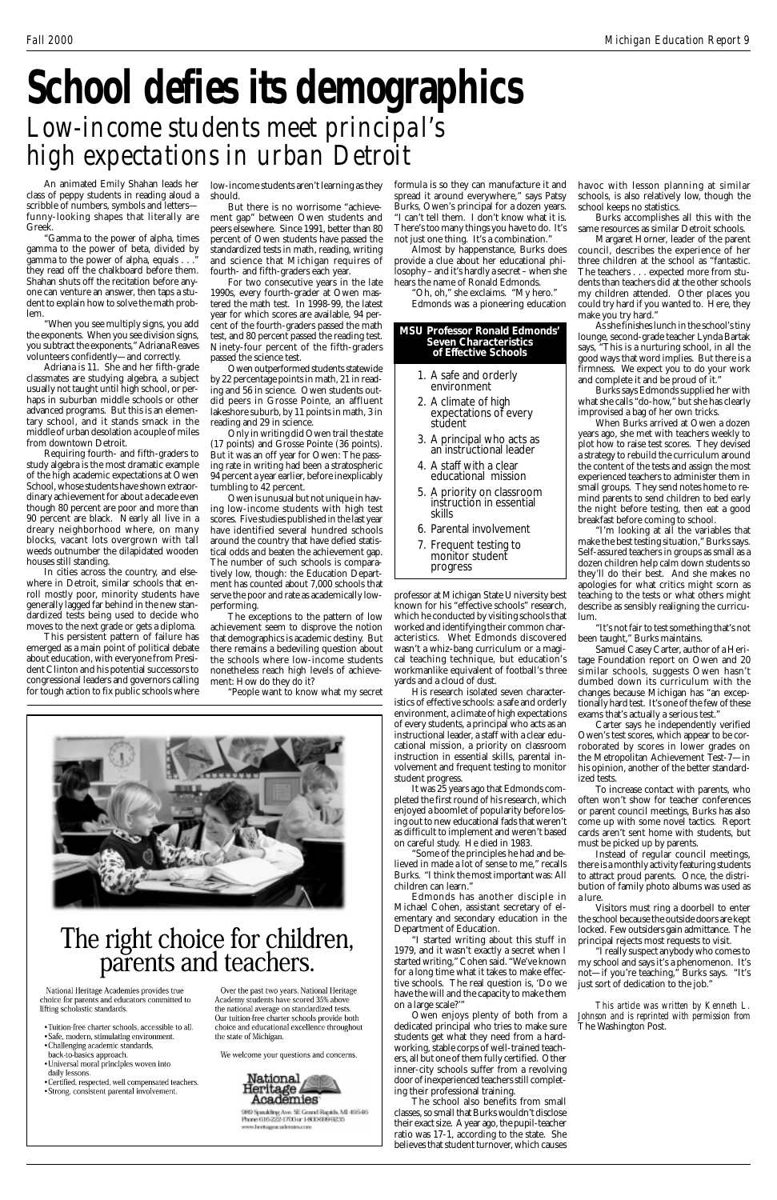class of peppy students in reading aloud a scribble of numbers, symbols and letters funny-looking shapes that literally are Greek.

"Gamma to the power of alpha, times gamma to the power of beta, divided by gamma to the power of alpha, equals . . .\* they read off the chalkboard before them. Shahan shuts off the recitation before anyone can venture an answer, then taps a student to explain how to solve the math problem.

"When you see multiply signs, you add the exponents. When you see division signs, you subtract the exponents," Adriana Reaves volunteers confidently—and correctly.

Adriana is 11. She and her fifth-grade classmates are studying algebra, a subject usually not taught until high school, or perhaps in suburban middle schools or other advanced programs. But this is an elementary school, and it stands smack in the middle of urban desolation a couple of miles from downtown Detroit.

An animated Emily Shahan leads her low-income students aren't learning as they should.

Requiring fourth- and fifth-graders to study algebra is the most dramatic example of the high academic expectations at Owen School, whose students have shown extraordinary achievement for about a decade even though 80 percent are poor and more than 90 percent are black. Nearly all live in a dreary neighborhood where, on many blocks, vacant lots overgrown with tall weeds outnumber the dilapidated wooden houses still standing.

In cities across the country, and elsewhere in Detroit, similar schools that enroll mostly poor, minority students have generally lagged far behind in the new standardized tests being used to decide who moves to the next grade or gets a diploma.

This persistent pattern of failure has emerged as a main point of political debate about education, with everyone from President Clinton and his potential successors to congressional leaders and governors calling for tough action to fix public schools where

# **School defies its demographics** *Low-income students meet principal's high expectations in urban Detroit*

But there is no worrisome "achievement gap" between Owen students and peers elsewhere. Since 1991, better than 80 percent of Owen students have passed the standardized tests in math, reading, writing and science that Michigan requires of fourth- and fifth-graders each year.

For two consecutive years in the late 1990s, every fourth-grader at Owen mastered the math test. In 1998-99, the latest year for which scores are available, 94 percent of the fourth-graders passed the math test, and 80 percent passed the reading test. Ninety-four percent of the fifth-graders passed the science test.

Owen outperformed students statewide by 22 percentage points in math, 21 in reading and 56 in science. Owen students outdid peers in Grosse Pointe, an affluent lakeshore suburb, by 11 points in math, 3 in reading and 29 in science.

Only in writing did Owen trail the state (17 points) and Grosse Pointe (36 points). But it was an off year for Owen: The passing rate in writing had been a stratospheric 94 percent a year earlier, before inexplicably tumbling to 42 percent.

Owen is unusual but not unique in having low-income students with high test scores. Five studies published in the last year have identified several hundred schools around the country that have defied statistical odds and beaten the achievement gap. The number of such schools is comparatively low, though: the Education Department has counted about 7,000 schools that serve the poor and rate as academically lowperforming.

The exceptions to the pattern of low achievement seem to disprove the notion that demographics is academic destiny. But there remains a bedeviling question about the schools where low-income students nonetheless reach high levels of achievement: How do they do it?

"People want to know what my secret



formula is so they can manufacture it and spread it around everywhere," says Patsy Burks, Owen's principal for a dozen years. "I can't tell them. I don't know what it is. There's too many things you have to do. It's not just one thing. It's a combination."

Almost by happenstance, Burks does provide a clue about her educational philosophy – and it's hardly a secret – when she hears the name of Ronald Edmonds.

> "Oh, oh," she exclaims. "My hero." Edmonds was a pioneering education

professor at Michigan State University best known for his "effective schools" research, which he conducted by visiting schools that worked and identifying their common characteristics. Whet Edmonds discovered wasn't a whiz-bang curriculum or a magical teaching technique, but education's workmanlike equivalent of football's three yards and a cloud of dust.

His research isolated seven characteristics of effective schools: a safe and orderly environment, a climate of high expectations of every students, a principal who acts as an instructional leader, a staff with a clear educational mission, a priority on classroom instruction in essential skills, parental involvement and frequent testing to monitor student progress.

It was 25 years ago that Edmonds completed the first round of his research, which enjoyed a boomlet of popularity before losing out to new educational fads that weren't as difficult to implement and weren't based on careful study. He died in 1983.

"Some of the principles he had and believed in made a lot of sense to me," recalls Burks. "I think the most important was: All

children can learn."

Edmonds has another disciple in Michael Cohen, assistant secretary of elementary and secondary education in the Department of Education.

"I started writing about this stuff in 1979, and it wasn't exactly a secret when I started writing," Cohen said. "We've known for a long time what it takes to make effective schools. The real question is, 'Do we have the will and the capacity to make them on a large scale?'"

Owen enjoys plenty of both from a dedicated principal who tries to make sure students get what they need from a hardworking, stable corps of well-trained teachers, all but one of them fully certified. Other inner-city schools suffer from a revolving door of inexperienced teachers still completing their professional training.

The school also benefits from small classes, so small that Burks wouldn't disclose their exact size. A year ago, the pupil-teacher ratio was 17-1, according to the state. She believes that student turnover, which causes havoc with lesson planning at similar schools, is also relatively low, though the school keeps no statistics.

Burks accomplishes all this with the same resources as similar Detroit schools.

Margaret Horner, leader of the parent council, describes the experience of her three children at the school as "fantastic. The teachers . . . expected more from students than teachers did at the other schools my children attended. Other places you could try hard if you wanted to. Here, they make you try hard."

As she finishes lunch in the school's tiny lounge, second-grade teacher Lynda Bartak says, "This is a nurturing school, in all the good ways that word implies. But there is a firmness. We expect you to do your work and complete it and be proud of it."

Burks says Edmonds supplied her with what she calls "do-how," but she has clearly improvised a bag of her own tricks.

When Burks arrived at Owen a dozen years ago, she met with teachers weekly to plot how to raise test scores. They devised a strategy to rebuild the curriculum around the content of the tests and assign the most experienced teachers to administer them in small groups. They send notes home to remind parents to send children to bed early the night before testing, then eat a good breakfast before coming to school.

"I'm looking at all the variables that make the best testing situation," Burks says. Self-assured teachers in groups as small as a dozen children help calm down students so they'll do their best. And she makes no apologies for what critics might scorn as teaching to the tests or what others might describe as sensibly realigning the curriculum.

"It's not fair to test something that's not been taught," Burks maintains.

Samuel Casey Carter, author of a Heritage Foundation report on Owen and 20 similar schools, suggests Owen hasn't dumbed down its curriculum with the changes because Michigan has "an exceptionally hard test. It's one of the few of these exams that's actually a serious test."

Carter says he independently verified Owen's test scores, which appear to be corroborated by scores in lower grades on the Metropolitan Achievement Test-7—in his opinion, another of the better standardized tests.

To increase contact with parents, who often won't show for teacher conferences or parent council meetings, Burks has also come up with some novel tactics. Report cards aren't sent home with students, but must be picked up by parents.

Instead of regular council meetings, there is a monthly activity featuring students to attract proud parents. Once, the distri-

# The right choice for children,<br>parents and teachers.

National Heritage Academies provides true choice for parents and educators committed to lifting scholastic standards.

- Tuition-free charter schools, accessible to all.
- Safe, modern, stimulating environment.
- Challenging academic standards, back-to-basics approach.
- Universal moral principles woven into daily lessons.
- Certified, respected, well compensated teachers.
- Strong, consistent parental involvement.

Over the past two years, National Heritage Academy students have scored 35% above the national average on standardized tests. Our tuition-free charter schools provide both choice and educational excellence throughout the state of Michigan.

We welcome your questions and concerns.



989 Spaulding Ave. SE Grand Rapids, MI 49546 Phone 616-222-1700 or 1-800-699-9235 www.heritagencashmies.com

bution of family photo albums was used as a lure.

Visitors must ring a doorbell to enter the school because the outside doors are kept locked. Few outsiders gain admittance. The principal rejects most requests to visit.

"I really suspect anybody who comes to my school and says it's a phenomenon. It's not—if you're teaching," Burks says. "It's just sort of dedication to the job."

*This article was written by Kenneth L. Johnson and is reprinted with permission from* The Washington Post.

- 1. A safe and orderly environment
- 2. A climate of high expectations of every student
- 3. A principal who acts as an instructional leader
- 4. A staff with a clear educational mission
- 5. A priority on classroom instruction in essential skills
- 6. Parental involvement
- 7. Frequent testing to monitor student progress

#### **MSU Professor Ronald Edmonds' Seven Characteristics of Effective Schools**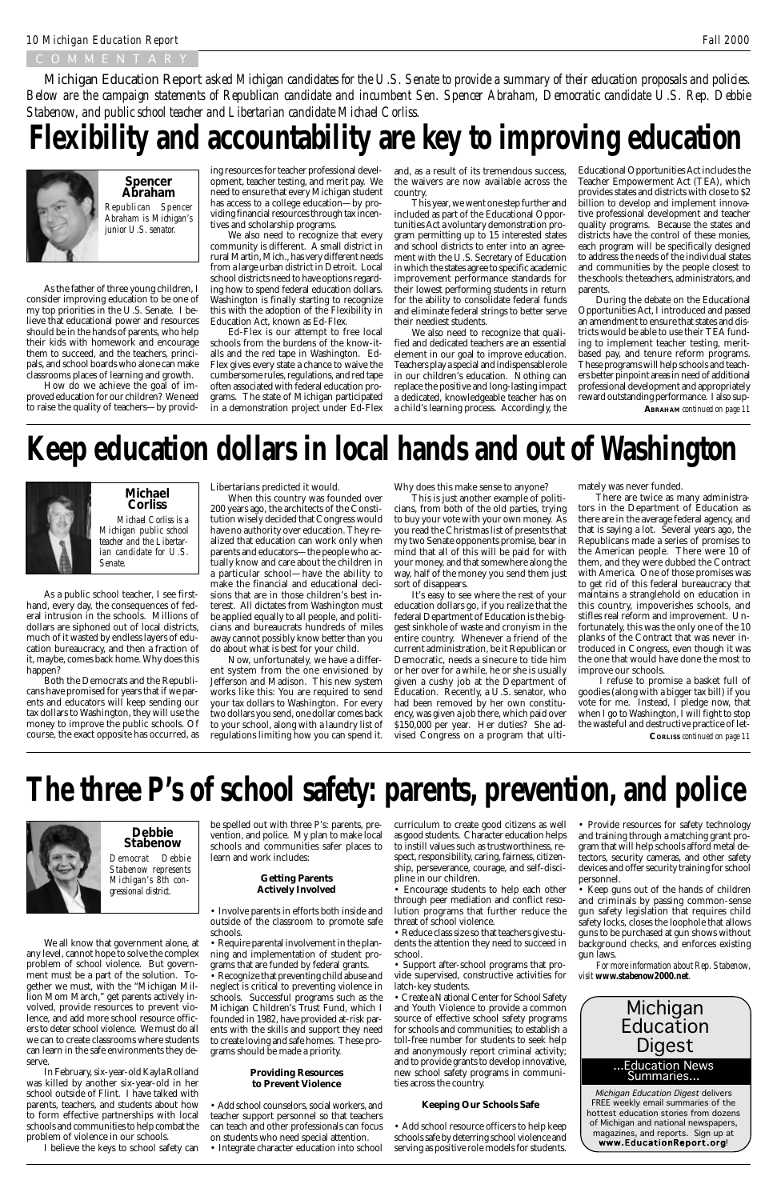### COMMENTAR

As the father of three young children, I consider improving education to be one of my top priorities in the U.S. Senate. I believe that educational power and resources should be in the hands of parents, who help their kids with homework and encourage them to succeed, and the teachers, principals, and school boards who alone can make classrooms places of learning and growth.

> FREE weekly email summaries of the hottest education stories from dozens of Michigan and national newspapers, magazines, and reports. Sign up at www.EducationReport.org!

How do we achieve the goal of improved education for our children? We need to raise the quality of teachers—by provid-

*Republican Spencer Abraham is Michigan's junior U.S. senator.* **Spencer Abraham**



## **Flexibility and accountability are key to improving education**



As a public school teacher, I see firsthand, every day, the consequences of federal intrusion in the schools. Millions of dollars are siphoned out of local districts, much of it wasted by endless layers of education bureaucracy, and then a fraction of it, maybe, comes back home. Why does this happen?

Both the Democrats and the Republicans have promised for years that if we parents and educators will keep sending our tax dollars to Washington, they will use the money to improve the public schools. Of course, the exact opposite has occurred, as

*Michael Corliss is a Michigan public school teacher and the Libertarian candidate for U.S. Senate.*

### **Michael Corliss**

Libertarians predicted it would.

When this country was founded over 200 years ago, the architects of the Constitution wisely decided that Congress would have no authority over education. They realized that education can work only when parents and educators—the people who actually know and care about the children in a particular school—have the ability to make the financial and educational decisions that are in those children's best interest. All dictates from Washington must be applied equally to all people, and politicians and bureaucrats hundreds of miles away cannot possibly know better than you do about what is best for your child.

Now, unfortunately, we have a different system from the one envisioned by Jefferson and Madison. This new system works like this: You are required to send your tax dollars to Washington. For every two dollars you send, one dollar comes back to your school, along with a laundry list of regulations limiting how you can spend it.

## **Keep education dollars in local hands and out of Washington**



ing resources for teacher professional development, teacher testing, and merit pay. We need to ensure that every Michigan student has access to a college education—by providing financial resources through tax incentives and scholarship programs.

We also need to recognize that every community is different. A small district in rural Martin, Mich., has very different needs from a large urban district in Detroit. Local school districts need to have options regarding how to spend federal education dollars. Washington is finally starting to recognize this with the adoption of the Flexibility in Education Act, known as Ed-Flex.

Ed-Flex is our attempt to free local schools from the burdens of the know-italls and the red tape in Washington. Ed-Flex gives every state a chance to waive the cumbersome rules, regulations, and red tape often associated with federal education programs. The state of Michigan participated in a demonstration project under Ed-Flex and, as a result of its tremendous success, the waivers are now available across the country.

This year, we went one step further and included as part of the Educational Opportunities Act a voluntary demonstration program permitting up to 15 interested states and school districts to enter into an agreement with the U.S. Secretary of Education in which the states agree to specific academic improvement performance standards for their lowest performing students in return for the ability to consolidate federal funds and eliminate federal strings to better serve their neediest students.

We also need to recognize that qualified and dedicated teachers are an essential element in our goal to improve education. Teachers play a special and indispensable role in our children's education. Nothing can replace the positive and long-lasting impact a dedicated, knowledgeable teacher has on a child's learning process. Accordingly, the

Educational Opportunities Act includes the Teacher Empowerment Act (TEA), which provides states and districts with close to \$2 billion to develop and implement innovative professional development and teacher quality programs. Because the states and districts have the control of these monies, each program will be specifically designed to address the needs of the individual states and communities by the people closest to the schools: the teachers, administrators, and parents.

During the debate on the Educational Opportunities Act, I introduced and passed an amendment to ensure that states and districts would be able to use their TEA funding to implement teacher testing, meritbased pay, and tenure reform programs. These programs will help schools and teachers better pinpoint areas in need of additional professional development and appropriately reward outstanding performance. I also sup-

• Keep guns out of the hands of children and criminals by passing common-sense gun safety legislation that requires child safety locks, closes the loophole that allows guns to be purchased at gun shows without background checks, and enforces existing gun laws.

Why does this make sense to anyone?

This is just another example of politicians, from both of the old parties, trying to buy your vote with your own money. As you read the Christmas list of presents that my two Senate opponents promise, bear in mind that all of this will be paid for with your money, and that somewhere along the way, half of the money you send them just sort of disappears.

It's easy to see where the rest of your education dollars go, if you realize that the federal Department of Education is the biggest sinkhole of waste and cronyism in the entire country. Whenever a friend of the current administration, be it Republican or Democratic, needs a sinecure to tide him or her over for a while, he or she is usually given a cushy job at the Department of Education. Recently, a U.S. senator, who had been removed by her own constituency, was given a job there, which paid over \$150,000 per year. Her duties? She advised Congress on a program that ultimately was never funded.

There are twice as many administrators in the Department of Education as there are in the average federal agency, and that is saying a lot. Several years ago, the Republicans made a series of promises to the American people. There were 10 of them, and they were dubbed the Contract with America. One of those promises was to get rid of this federal bureaucracy that maintains a stranglehold on education in this country, impoverishes schools, and stifles real reform and improvement. Unfortunately, this was the only one of the 10 planks of the Contract that was never introduced in Congress, even though it was the one that would have done the most to improve our schools.

We all know that government alone, at any level, cannot hope to solve the complex problem of school violence. But government must be a part of the solution. Together we must, with the "Michigan Million Mom March," get parents actively involved, provide resources to prevent violence, and add more school resource officers to deter school violence. We must do all we can to create classrooms where students can learn in the safe environments they deserve.

In February, six-year-old Kayla Rolland was killed by another six-year-old in her school outside of Flint. I have talked with parents, teachers, and students about how to form effective partnerships with local schools and communities to help combat the problem of violence in our schools.

I believe the keys to school safety can

*Democrat Debbie Stabenow represents Michigan's 8th con-***Debbie Stabenow**



be spelled out with three P's: parents, prevention, and police. My plan to make local schools and communities safer places to learn and work includes:

#### **Getting Parents**

### **Actively Involved**

- Involve parents in efforts both inside and outside of the classroom to promote safe schools.
- Require parental involvement in the planning and implementation of student programs that are funded by federal grants.
- Recognize that preventing child abuse and neglect is critical to preventing violence in schools. Successful programs such as the Michigan Children's Trust Fund, which I founded in 1982, have provided at-risk parents with the skills and support they need to create loving and safe homes. These programs should be made a priority.

### **Providing Resources to Prevent Violence**

- Add school counselors, social workers, and teacher support personnel so that teachers can teach and other professionals can focus on students who need special attention.
- Integrate character education into school

 I refuse to promise a basket full of goodies (along with a bigger tax bill) if you vote for me. Instead, I pledge now, that when I go to Washington, I will fight to stop the wasteful and destructive practice of let-**CORLISS** *continued on page 11*

## **The three P's of school safety: parents, prevention, and police**



curriculum to create good citizens as well as good students. Character education helps to instill values such as trustworthiness, respect, responsibility, caring, fairness, citizenship, perseverance, courage, and self-discipline in our children.

• Encourage students to help each other through peer mediation and conflict resolution programs that further reduce the threat of school violence.

• Reduce class size so that teachers give students the attention they need to succeed in school.

• Support after-school programs that provide supervised, constructive activities for latch-key students.

• Create a National Center for School Safety and Youth Violence to provide a common source of effective school safety programs for schools and communities; to establish a toll-free number for students to seek help and anonymously report criminal activity; and to provide grants to develop innovative, new school safety programs in communities across the country.

### **Keeping Our Schools Safe**

• Add school resource officers to help keep schools safe by deterring school violence and serving as positive role models for students.

• Provide resources for safety technology and training through a matching grant program that will help schools afford metal detectors, security cameras, and other safety devices and offer security training for school personnel.

*For more information about Rep. Stabenow, visit www.stabenow2000.net.*

Michigan Education Report *asked Michigan candidates for the U.S. Senate to provide a summary of their education proposals and policies. Below are the campaign statements of Republican candidate and incumbent Sen. Spencer Abraham, Democratic candidate U.S. Rep. Debbie Stabenow, and public school teacher and Libertarian candidate Michael Corliss.*

**ABRAHAM** *continued on page 11*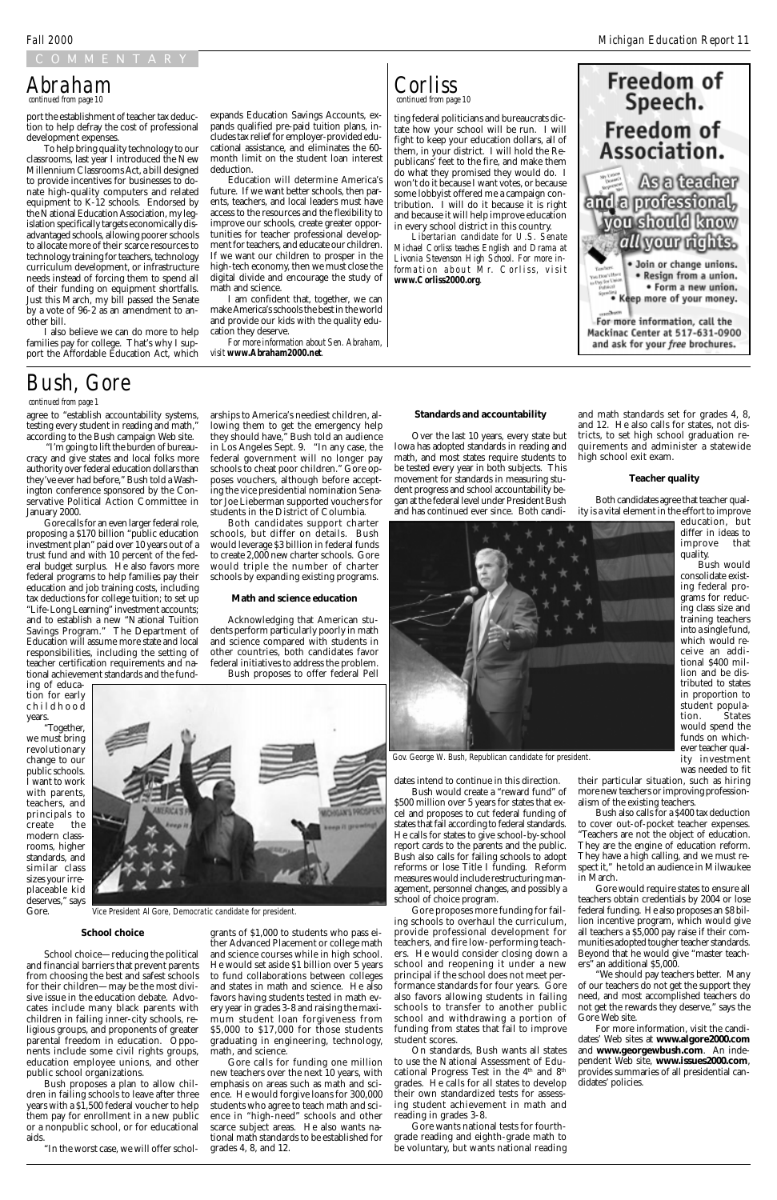### COMMENTARY

port the establishment of teacher tax deduction to help defray the cost of professional development expenses.

To help bring quality technology to our classrooms, last year I introduced the New Millennium Classrooms Act, a bill designed to provide incentives for businesses to donate high-quality computers and related equipment to K-12 schools. Endorsed by the National Education Association, my legislation specifically targets economically disadvantaged schools, allowing poorer schools to allocate more of their scarce resources to technology training for teachers, technology curriculum development, or infrastructure needs instead of forcing them to spend all of their funding on equipment shortfalls. Just this March, my bill passed the Senate by a vote of 96-2 as an amendment to another bill.

I also believe we can do more to help families pay for college. That's why I support the Affordable Education Act, which ting federal politicians and bureaucrats dictate how your school will be run. I will fight to keep your education dollars, all of them, in your district. I will hold the Republicans' feet to the fire, and make them do what they promised they would do. I won't do it because I want votes, or because some lobbyist offered me a campaign contribution. I will do it because it is right and because it will help improve education in every school district in this country.

*Libertarian candidate for U.S. Senate Michael Corliss teaches English and Drama at Livonia Stevenson High School. For more information about Mr. Corliss, visit www.Corliss2000.org.*



#### expands Education Savings Accounts, expands qualified pre-paid tuition plans, includes tax relief for employer-provided educational assistance, and eliminates the 60 month limit on the student loan interest deduction.

Education will determine America's future. If we want better schools, then parents, teachers, and local leaders must have access to the resources and the flexibility to improve our schools, create greater opportunities for teacher professional development for teachers, and educate our children. If we want our children to prosper in the high-tech economy, then we must close the digital divide and encourage the study of math and science.

I am confident that, together, we can make America's schools the best in the world and provide our kids with the quality education they deserve.

*For more information about Sen. Abraham, visit www.Abraham2000.net.*

### *continued from page 10 Abraham*



agree to "establish accountability systems, testing every student in reading and math," according to the Bush campaign Web site.

 "I'm going to lift the burden of bureaucracy and give states and local folks more authority over federal education dollars than they've ever had before," Bush told a Washington conference sponsored by the Conservative Political Action Committee in January 2000.

Gore calls for an even larger federal role, proposing a \$170 billion "public education investment plan" paid over 10 years out of a trust fund and with 10 percent of the federal budget surplus. He also favors more federal programs to help families pay their education and job training costs, including tax deductions for college tuition; to set up "Life-Long Learning" investment accounts; and to establish a new "National Tuition Savings Program." The Department of Education will assume more state and local responsibilities, including the setting of teacher certification requirements and national achievement standards and the fund-

ing of education for early childhood years.

"Together, we must bring revolutionary change to our public schools. I want to work with parents, teachers, and principals to create the modern classrooms, higher standards, and similar class sizes your irre-

placeable kid deserves," says Gore.



#### **School choice**

School choice—reducing the political and financial barriers that prevent parents from choosing the best and safest schools for their children—may be the most divisive issue in the education debate. Advocates include many black parents with children in failing inner-city schools, religious groups, and proponents of greater parental freedom in education. Opponents include some civil rights groups, education employee unions, and other public school organizations.

Bush proposes a plan to allow children in failing schools to leave after three years with a \$1,500 federal voucher to help them pay for enrollment in a new public or a nonpublic school, or for educational aids.

"In the worst case, we will offer schol-

### *continued from page 1*

## *Bush, Gore*

arships to America's neediest children, allowing them to get the emergency help they should have," Bush told an audience in Los Angeles Sept. 9. "In any case, the federal government will no longer pay schools to cheat poor children." Gore opposes vouchers, although before accepting the vice presidential nomination Senator Joe Lieberman supported vouchers for students in the District of Columbia. Both candidates support charter schools, but differ on details. Bush would leverage \$3 billion in federal funds to create 2,000 new charter schools. Gore would triple the number of charter schools by expanding existing programs.

**Math and science education**

Acknowledging that American students perform particularly poorly in math and science compared with students in other countries, both candidates favor federal initiatives to address the problem. Bush proposes to offer federal Pell

grants of \$1,000 to students who pass either Advanced Placement or college math and science courses while in high school. He would set aside \$1 billion over 5 years to fund collaborations between colleges and states in math and science. He also favors having students tested in math every year in grades 3-8 and raising the maximum student loan forgiveness from \$5,000 to \$17,000 for those students graduating in engineering, technology, math, and science.

Gore calls for funding one million new teachers over the next 10 years, with emphasis on areas such as math and science. He would forgive loans for 300,000 students who agree to teach math and science in "high-need" schools and other scarce subject areas. He also wants national math standards to be established for grades 4, 8, and 12.

#### **Standards and accountability**

Over the last 10 years, every state but Iowa has adopted standards in reading and math, and most states require students to be tested every year in both subjects. This movement for standards in measuring student progress and school accountability began at the federal level under President Bush and has continued ever since. Both candi-

dates intend to continue in this direction.

Bush would create a "reward fund" of \$500 million over 5 years for states that excel and proposes to cut federal funding of states that fail according to federal standards. He calls for states to give school-by-school report cards to the parents and the public. Bush also calls for failing schools to adopt reforms or lose Title I funding. Reform measures would include restructuring man-

agement, personnel changes, and possibly a school of choice program.

Gore proposes more funding for failing schools to overhaul the curriculum, provide professional development for teachers, and fire low-performing teachers. He would consider closing down a school and reopening it under a new principal if the school does not meet performance standards for four years. Gore also favors allowing students in failing schools to transfer to another public school and withdrawing a portion of funding from states that fail to improve student scores.

On standards, Bush wants all states to use the National Assessment of Educational Progress Test in the  $4<sup>th</sup>$  and  $8<sup>th</sup>$ grades. He calls for all states to develop their own standardized tests for assessing student achievement in math and reading in grades 3-8.

Gore wants national tests for fourthgrade reading and eighth-grade math to be voluntary, but wants national reading and math standards set for grades 4, 8, and 12. He also calls for states, not districts, to set high school graduation requirements and administer a statewide high school exit exam.

#### **Teacher quality**

Both candidates agree that teacher quality is a vital element in the effort to improve

> education, but differ in ideas to improve that quality.

Bush would consolidate existing federal programs for reducing class size and training teachers into a single fund, which would receive an additional \$400 million and be distributed to states in proportion to student population. States would spend the funds on whichever teacher quality investment was needed to fit

their particular situation, such as hiring more new teachers or improving professionalism of the existing teachers.

Bush also calls for a \$400 tax deduction to cover out-of-pocket teacher expenses. "Teachers are not the object of education. They are the engine of education reform. They have a high calling, and we must respect it," he told an audience in Milwaukee in March.

Gore would require states to ensure all teachers obtain credentials by 2004 or lose federal funding. He also proposes an \$8 billion incentive program, which would give all teachers a \$5,000 pay raise if their communities adopted tougher teacher standards. Beyond that he would give "master teachers" an additional \$5,000.

"We should pay teachers better. Many of our teachers do not get the support they need, and most accomplished teachers do not get the rewards they deserve," says the Gore Web site.

For more information, visit the candidates' Web sites at **www.algore2000.com** and **www.georgewbush.com**. An independent Web site, **www.issues2000.com**, provides summaries of all presidential candidates' policies.



*Gov. George W. Bush, Republican candidate for president.*

*Vice President Al Gore, Democratic candidate for president.*